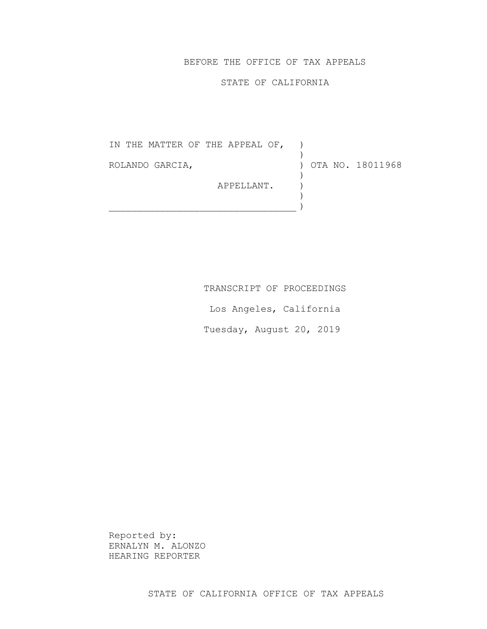# BEFORE THE OFFICE OF TAX APPEALS

#### STATE OF CALIFORNIA

IN THE MATTER OF THE APPEAL OF, ) ROLANDO GARCIA, APPELLANT. )  $\mathcal{L}_\text{max}$  $\left( \right)$ ) OTA NO. 18011968 ) ) )

TRANSCRIPT OF PROCEEDINGS

Los Angeles, California

Tuesday, August 20, 2019

Reported by: ERNALYN M. ALONZO HEARING REPORTER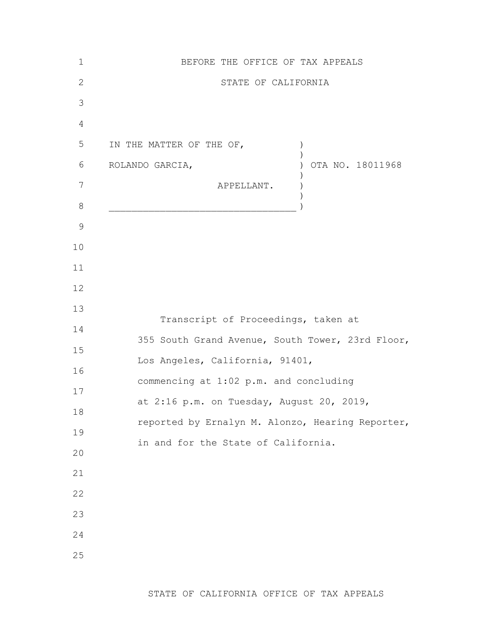| $\mathbf 1$   | BEFORE THE OFFICE OF TAX APPEALS                 |
|---------------|--------------------------------------------------|
| $\mathbf{2}$  | STATE OF CALIFORNIA                              |
| 3             |                                                  |
| 4             |                                                  |
| 5             | IN THE MATTER OF THE OF,<br>$\left( \right)$     |
| 6             | OTA NO. 18011968<br>ROLANDO GARCIA,              |
| 7             | APPELLANT.                                       |
| 8             |                                                  |
| $\mathcal{G}$ |                                                  |
| 10            |                                                  |
| 11            |                                                  |
| 12            |                                                  |
| 13            | Transcript of Proceedings, taken at              |
| 14            | 355 South Grand Avenue, South Tower, 23rd Floor, |
| 15            | Los Angeles, California, 91401,                  |
| 16            | commencing at 1:02 p.m. and concluding           |
| 17            | at 2:16 p.m. on Tuesday, August 20, 2019,        |
| 18            | reported by Ernalyn M. Alonzo, Hearing Reporter, |
| 19            | in and for the State of California.              |
| 20            |                                                  |
| 21            |                                                  |
| 22            |                                                  |
| 23            |                                                  |
| 24            |                                                  |
| 25            |                                                  |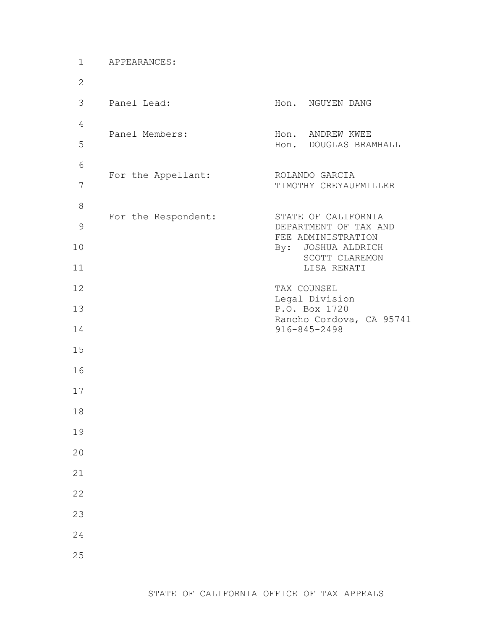| $\mathbf 1$    | APPEARANCES:        |                                                |
|----------------|---------------------|------------------------------------------------|
| $\mathbf{2}$   |                     |                                                |
| 3              | Panel Lead:         | Hon. NGUYEN DANG                               |
| 4              | Panel Members:      | Hon. ANDREW KWEE                               |
| 5              |                     | DOUGLAS BRAMHALL<br>Hon.                       |
| 6              | For the Appellant:  | ROLANDO GARCIA                                 |
| $\overline{7}$ |                     | TIMOTHY CREYAUFMILLER                          |
| $\,8\,$        | For the Respondent: | STATE OF CALIFORNIA                            |
| $\mathcal{G}$  |                     | DEPARTMENT OF TAX AND<br>FEE ADMINISTRATION    |
| 10             |                     | By: JOSHUA ALDRICH<br>SCOTT CLAREMON           |
| 11<br>12       |                     | LISA RENATI                                    |
| 13             |                     | TAX COUNSEL<br>Legal Division<br>P.O. Box 1720 |
| 14             |                     | Rancho Cordova, CA 95741<br>916-845-2498       |
| 15             |                     |                                                |
| 16             |                     |                                                |
| 17             |                     |                                                |
| 18             |                     |                                                |
| 19             |                     |                                                |
| 20             |                     |                                                |
| 21             |                     |                                                |
| 22             |                     |                                                |
| 23             |                     |                                                |
| 24             |                     |                                                |
| 25             |                     |                                                |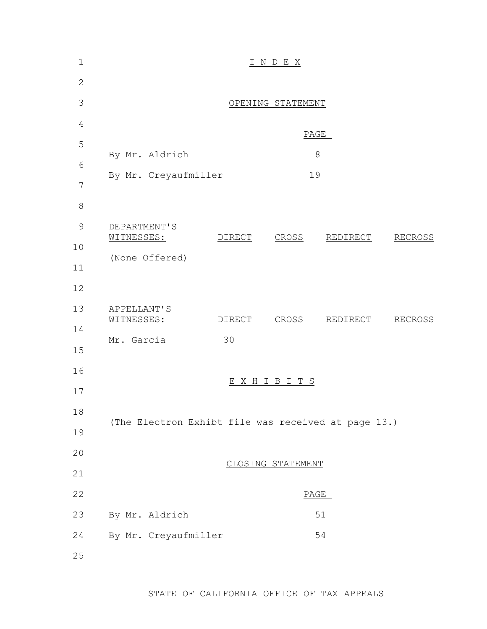| $1\,$         | I N D E X                                           |        |                   |          |                |  |  |  |  |
|---------------|-----------------------------------------------------|--------|-------------------|----------|----------------|--|--|--|--|
| $\mathbf{2}$  |                                                     |        |                   |          |                |  |  |  |  |
| 3             |                                                     |        | OPENING STATEMENT |          |                |  |  |  |  |
| 4             |                                                     |        |                   | PAGE     |                |  |  |  |  |
| 5             | By Mr. Aldrich                                      |        |                   |          |                |  |  |  |  |
| 6             |                                                     |        | $8\,$<br>19       |          |                |  |  |  |  |
| 7             | By Mr. Creyaufmiller                                |        |                   |          |                |  |  |  |  |
| 8             |                                                     |        |                   |          |                |  |  |  |  |
| $\mathcal{G}$ | DEPARTMENT'S<br>WITNESSES:                          | DIRECT | CROSS             | REDIRECT | RECROSS        |  |  |  |  |
| 10            | (None Offered)                                      |        |                   |          |                |  |  |  |  |
| 11            |                                                     |        |                   |          |                |  |  |  |  |
| 12            |                                                     |        |                   |          |                |  |  |  |  |
| 13            | <b>APPELLANT'S</b><br>WITNESSES:                    | DIRECT | CROSS             | REDIRECT | <b>RECROSS</b> |  |  |  |  |
| 14            | Mr. Garcia                                          | 30     |                   |          |                |  |  |  |  |
| 15            |                                                     |        |                   |          |                |  |  |  |  |
| 16            |                                                     | Ε      | X H I B I T S     |          |                |  |  |  |  |
| 17            |                                                     |        |                   |          |                |  |  |  |  |
| 18            | (The Electron Exhibt file was received at page 13.) |        |                   |          |                |  |  |  |  |
| 19            |                                                     |        |                   |          |                |  |  |  |  |
| 20            |                                                     |        | CLOSING STATEMENT |          |                |  |  |  |  |
| 21            |                                                     |        |                   |          |                |  |  |  |  |
| 22            |                                                     |        |                   | PAGE     |                |  |  |  |  |
| 23            | By Mr. Aldrich                                      |        |                   | 51       |                |  |  |  |  |
| 24            | By Mr. Creyaufmiller                                |        |                   | 54       |                |  |  |  |  |
| 25            |                                                     |        |                   |          |                |  |  |  |  |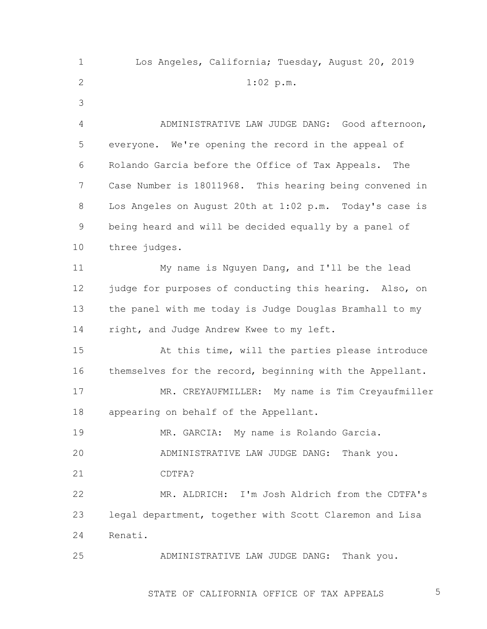1 2 3 4 5 6 7 8 9 10 11 12 13 14 15 16 17 18 19 20 21 22 23 24 25 Los Angeles, California; Tuesday, August 20, 2019 1:02 p.m. ADMINISTRATIVE LAW JUDGE DANG: Good afternoon, everyone. We're opening the record in the appeal of Rolando Garcia before the Office of Tax Appeals. The Case Number is 18011968. This hearing being convened in Los Angeles on August 20th at 1:02 p.m. Today's case is being heard and will be decided equally by a panel of three judges. My name is Nguyen Dang, and I'll be the lead judge for purposes of conducting this hearing. Also, on the panel with me today is Judge Douglas Bramhall to my right, and Judge Andrew Kwee to my left. At this time, will the parties please introduce themselves for the record, beginning with the Appellant. MR. CREYAUFMILLER: My name is Tim Creyaufmiller appearing on behalf of the Appellant. MR. GARCIA: My name is Rolando Garcia. ADMINISTRATIVE LAW JUDGE DANG: Thank you. CDTFA? MR. ALDRICH: I'm Josh Aldrich from the CDTFA's legal department, together with Scott Claremon and Lisa Renati. ADMINISTRATIVE LAW JUDGE DANG: Thank you.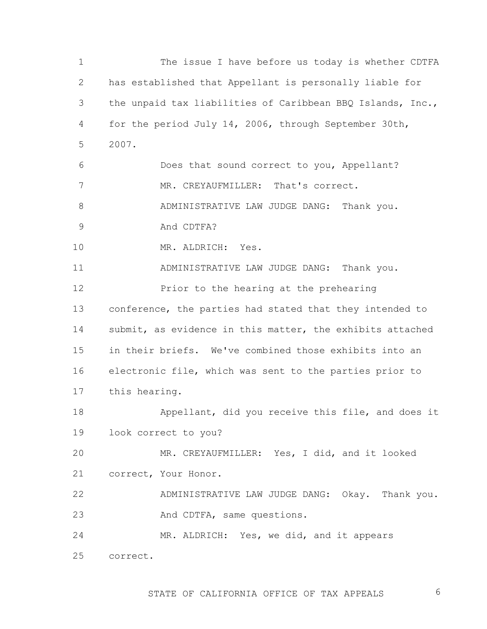1 2 3 4 5 6 7 8 9 10 11 12 13 14 15 16 17 18 19 20 21 22 23 24 25 The issue I have before us today is whether CDTFA has established that Appellant is personally liable for the unpaid tax liabilities of Caribbean BBQ Islands, Inc., for the period July 14, 2006, through September 30th, 2007. Does that sound correct to you, Appellant? MR. CREYAUFMILLER: That's correct. ADMINISTRATIVE LAW JUDGE DANG: Thank you. And CDTFA? MR. ALDRICH: Yes. ADMINISTRATIVE LAW JUDGE DANG: Thank you. Prior to the hearing at the prehearing conference, the parties had stated that they intended to submit, as evidence in this matter, the exhibits attached in their briefs. We've combined those exhibits into an electronic file, which was sent to the parties prior to this hearing. Appellant, did you receive this file, and does it look correct to you? MR. CREYAUFMILLER: Yes, I did, and it looked correct, Your Honor. ADMINISTRATIVE LAW JUDGE DANG: Okay. Thank you. And CDTFA, same questions. MR. ALDRICH: Yes, we did, and it appears correct.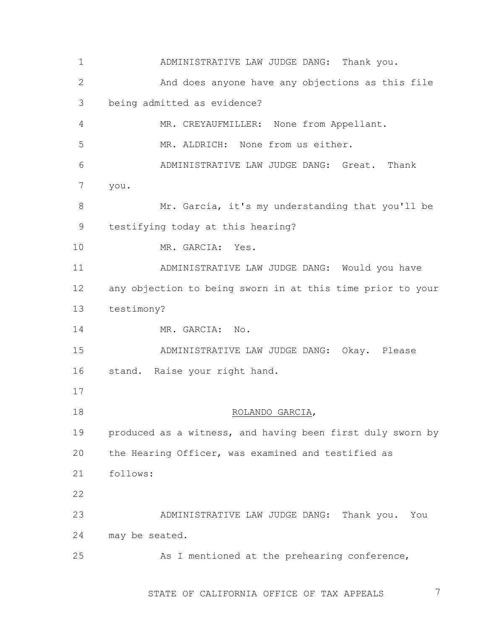1 2 3 4 5 6 7 8 9 10 11 12 13 14 15 16 17 18 19 20 21 22 23 24 25 ADMINISTRATIVE LAW JUDGE DANG: Thank you. And does anyone have any objections as this file being admitted as evidence? MR. CREYAUFMILLER: None from Appellant. MR. ALDRICH: None from us either. ADMINISTRATIVE LAW JUDGE DANG: Great. Thank you. Mr. Garcia, it's my understanding that you'll be testifying today at this hearing? MR. GARCIA: Yes. ADMINISTRATIVE LAW JUDGE DANG: Would you have any objection to being sworn in at this time prior to your testimony? MR. GARCIA: No. ADMINISTRATIVE LAW JUDGE DANG: Okay. Please stand. Raise your right hand. ROLANDO GARCIA, produced as a witness, and having been first duly sworn by the Hearing Officer, was examined and testified as follows: ADMINISTRATIVE LAW JUDGE DANG: Thank you. You may be seated. As I mentioned at the prehearing conference,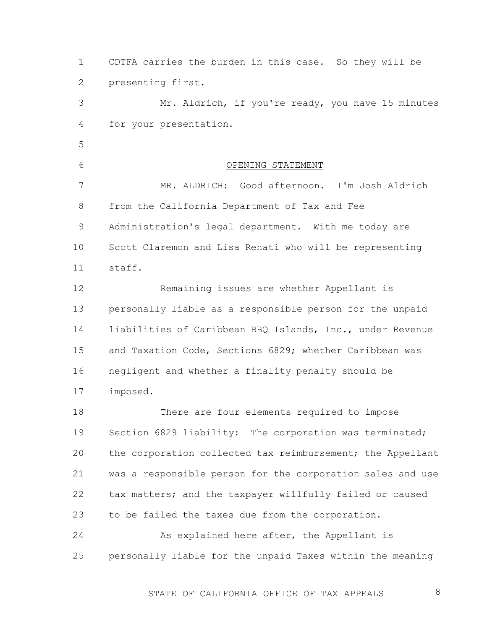1 2 CDTFA carries the burden in this case. So they will be presenting first.

3 4 Mr. Aldrich, if you're ready, you have 15 minutes for your presentation.

5

6

OPENING STATEMENT

7 8 9 10 11 MR. ALDRICH: Good afternoon. I'm Josh Aldrich from the California Department of Tax and Fee Administration's legal department. With me today are Scott Claremon and Lisa Renati who will be representing staff.

12 13 14 15 16 17 Remaining issues are whether Appellant is personally liable as a responsible person for the unpaid liabilities of Caribbean BBQ Islands, Inc., under Revenue and Taxation Code, Sections 6829; whether Caribbean was negligent and whether a finality penalty should be imposed.

18 19 20 21 22 23 There are four elements required to impose Section 6829 liability: The corporation was terminated; the corporation collected tax reimbursement; the Appellant was a responsible person for the corporation sales and use tax matters; and the taxpayer willfully failed or caused to be failed the taxes due from the corporation.

24 25 As explained here after, the Appellant is personally liable for the unpaid Taxes within the meaning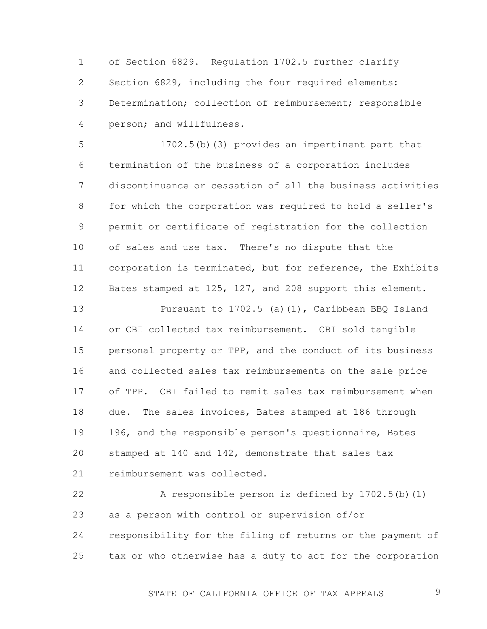1 2 3 4 of Section 6829. Regulation 1702.5 further clarify Section 6829, including the four required elements: Determination; collection of reimbursement; responsible person; and willfulness.

5 6 7 8 9 10 11 12 1702.5(b)(3) provides an impertinent part that termination of the business of a corporation includes discontinuance or cessation of all the business activities for which the corporation was required to hold a seller's permit or certificate of registration for the collection of sales and use tax. There's no dispute that the corporation is terminated, but for reference, the Exhibits Bates stamped at 125, 127, and 208 support this element.

13 14 15 16 17 18 19 20 21 Pursuant to 1702.5 (a)(1), Caribbean BBQ Island or CBI collected tax reimbursement. CBI sold tangible personal property or TPP, and the conduct of its business and collected sales tax reimbursements on the sale price of TPP. CBI failed to remit sales tax reimbursement when due. The sales invoices, Bates stamped at 186 through 196, and the responsible person's questionnaire, Bates stamped at 140 and 142, demonstrate that sales tax reimbursement was collected.

22 23 24 25 A responsible person is defined by 1702.5(b)(1) as a person with control or supervision of/or responsibility for the filing of returns or the payment of tax or who otherwise has a duty to act for the corporation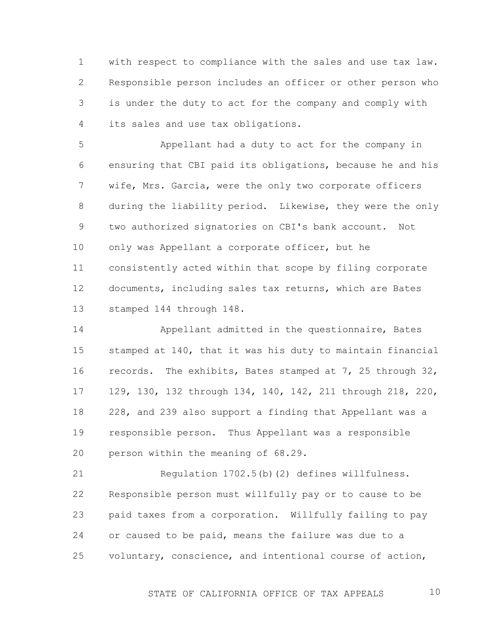1 2 3 4 with respect to compliance with the sales and use tax law. Responsible person includes an officer or other person who is under the duty to act for the company and comply with its sales and use tax obligations.

5 6 7 8 9 10 11 12 13 Appellant had a duty to act for the company in ensuring that CBI paid its obligations, because he and his wife, Mrs. Garcia, were the only two corporate officers during the liability period. Likewise, they were the only two authorized signatories on CBI's bank account. Not only was Appellant a corporate officer, but he consistently acted within that scope by filing corporate documents, including sales tax returns, which are Bates stamped 144 through 148.

14 15 16 17 18 19 20 Appellant admitted in the questionnaire, Bates stamped at 140, that it was his duty to maintain financial records. The exhibits, Bates stamped at 7, 25 through 32, 129, 130, 132 through 134, 140, 142, 211 through 218, 220, 228, and 239 also support a finding that Appellant was a responsible person. Thus Appellant was a responsible person within the meaning of 68.29.

21 22 23 24 25 Regulation 1702.5(b)(2) defines willfulness. Responsible person must willfully pay or to cause to be paid taxes from a corporation. Willfully failing to pay or caused to be paid, means the failure was due to a voluntary, conscience, and intentional course of action,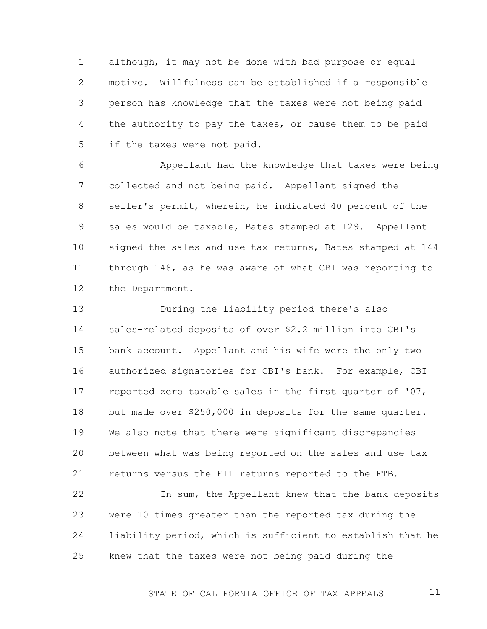1 2 3 4 5 although, it may not be done with bad purpose or equal motive. Willfulness can be established if a responsible person has knowledge that the taxes were not being paid the authority to pay the taxes, or cause them to be paid if the taxes were not paid.

6 7 8 9 10 11 12 Appellant had the knowledge that taxes were being collected and not being paid. Appellant signed the seller's permit, wherein, he indicated 40 percent of the sales would be taxable, Bates stamped at 129. Appellant signed the sales and use tax returns, Bates stamped at 144 through 148, as he was aware of what CBI was reporting to the Department.

13 14 15 16 17 18 19 20 21 During the liability period there's also sales-related deposits of over \$2.2 million into CBI's bank account. Appellant and his wife were the only two authorized signatories for CBI's bank. For example, CBI reported zero taxable sales in the first quarter of '07, but made over \$250,000 in deposits for the same quarter. We also note that there were significant discrepancies between what was being reported on the sales and use tax returns versus the FIT returns reported to the FTB.

22 23 24 25 In sum, the Appellant knew that the bank deposits were 10 times greater than the reported tax during the liability period, which is sufficient to establish that he knew that the taxes were not being paid during the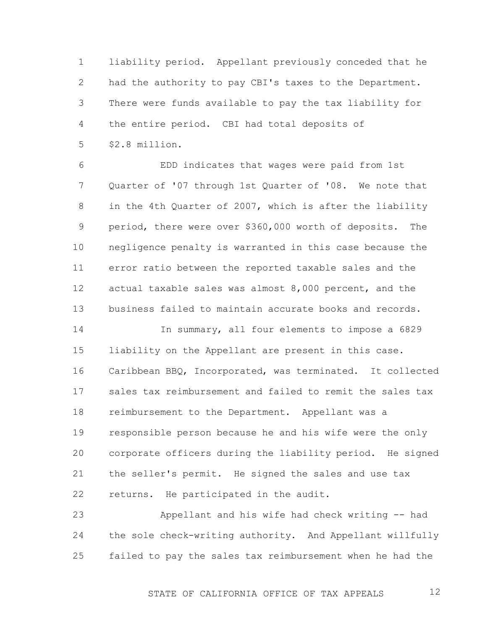1 2 3 4 5 liability period. Appellant previously conceded that he had the authority to pay CBI's taxes to the Department. There were funds available to pay the tax liability for the entire period. CBI had total deposits of \$2.8 million.

6 7 8 9 10 11 12 13 EDD indicates that wages were paid from 1st Quarter of '07 through 1st Quarter of '08. We note that in the 4th Quarter of 2007, which is after the liability period, there were over \$360,000 worth of deposits. The negligence penalty is warranted in this case because the error ratio between the reported taxable sales and the actual taxable sales was almost 8,000 percent, and the business failed to maintain accurate books and records.

14 15 16 17 18 19 20 21 22 In summary, all four elements to impose a 6829 liability on the Appellant are present in this case. Caribbean BBQ, Incorporated, was terminated. It collected sales tax reimbursement and failed to remit the sales tax reimbursement to the Department. Appellant was a responsible person because he and his wife were the only corporate officers during the liability period. He signed the seller's permit. He signed the sales and use tax returns. He participated in the audit.

23 24 25 Appellant and his wife had check writing -- had the sole check-writing authority. And Appellant willfully failed to pay the sales tax reimbursement when he had the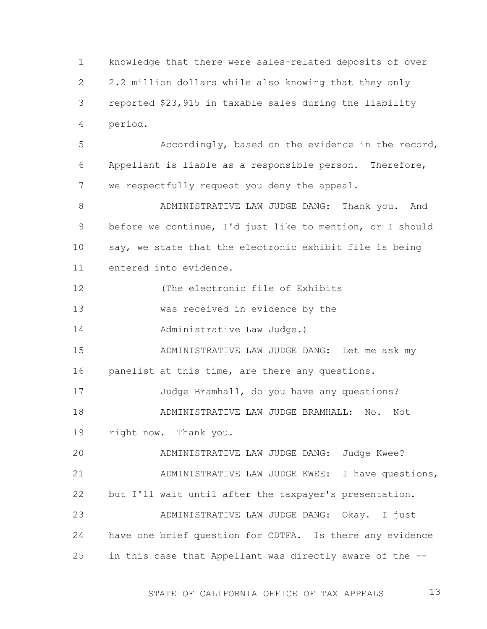1 2 3 4 knowledge that there were sales-related deposits of over 2.2 million dollars while also knowing that they only reported \$23,915 in taxable sales during the liability period.

5 6 7 Accordingly, based on the evidence in the record, Appellant is liable as a responsible person. Therefore, we respectfully request you deny the appeal.

8 9 10 11 ADMINISTRATIVE LAW JUDGE DANG: Thank you. And before we continue, I'd just like to mention, or I should say, we state that the electronic exhibit file is being entered into evidence.

12 (The electronic file of Exhibits

13 was received in evidence by the

14 Administrative Law Judge.)

15 16 ADMINISTRATIVE LAW JUDGE DANG: Let me ask my panelist at this time, are there any questions.

17 Judge Bramhall, do you have any questions?

18 ADMINISTRATIVE LAW JUDGE BRAMHALL: No. Not

19 right now. Thank you.

20 21 22 23 ADMINISTRATIVE LAW JUDGE DANG: Judge Kwee? ADMINISTRATIVE LAW JUDGE KWEE: I have questions, but I'll wait until after the taxpayer's presentation. ADMINISTRATIVE LAW JUDGE DANG: Okay. I just

24 25 have one brief question for CDTFA. Is there any evidence in this case that Appellant was directly aware of the --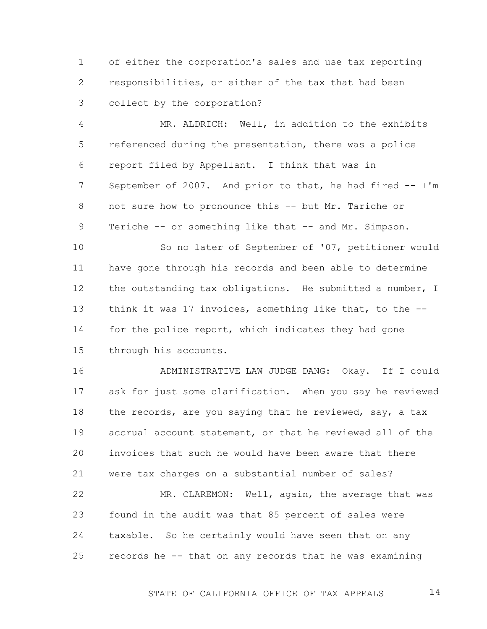1 2 3 of either the corporation's sales and use tax reporting responsibilities, or either of the tax that had been collect by the corporation?

4 5 6 7 8 9 MR. ALDRICH: Well, in addition to the exhibits referenced during the presentation, there was a police report filed by Appellant. I think that was in September of 2007. And prior to that, he had fired -- I'm not sure how to pronounce this -- but Mr. Tariche or Teriche -- or something like that -- and Mr. Simpson.

10 11 12 13 14 15 So no later of September of '07, petitioner would have gone through his records and been able to determine the outstanding tax obligations. He submitted a number, I think it was 17 invoices, something like that, to the - for the police report, which indicates they had gone through his accounts.

16 17 18 19 20 21 ADMINISTRATIVE LAW JUDGE DANG: Okay. If I could ask for just some clarification. When you say he reviewed the records, are you saying that he reviewed, say, a tax accrual account statement, or that he reviewed all of the invoices that such he would have been aware that there were tax charges on a substantial number of sales?

22 23 24 25 MR. CLAREMON: Well, again, the average that was found in the audit was that 85 percent of sales were taxable. So he certainly would have seen that on any records he -- that on any records that he was examining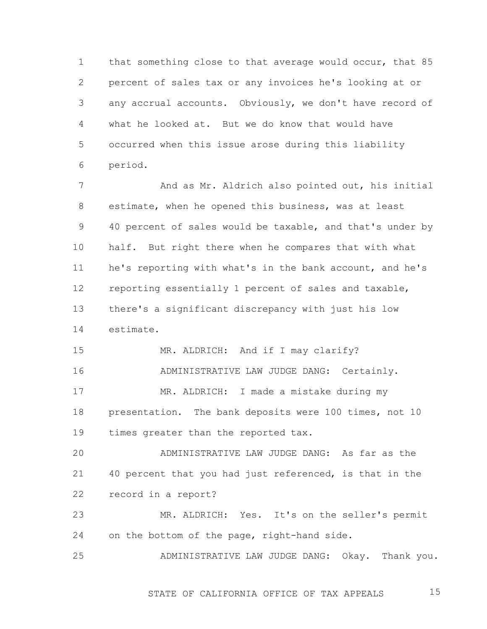1 2 3 4 5 6 that something close to that average would occur, that 85 percent of sales tax or any invoices he's looking at or any accrual accounts. Obviously, we don't have record of what he looked at. But we do know that would have occurred when this issue arose during this liability period.

7 8 9 10 11 12 13 14 And as Mr. Aldrich also pointed out, his initial estimate, when he opened this business, was at least 40 percent of sales would be taxable, and that's under by half. But right there when he compares that with what he's reporting with what's in the bank account, and he's reporting essentially 1 percent of sales and taxable, there's a significant discrepancy with just his low estimate.

15 16 17 18 19 MR. ALDRICH: And if I may clarify? ADMINISTRATIVE LAW JUDGE DANG: Certainly. MR. ALDRICH: I made a mistake during my presentation. The bank deposits were 100 times, not 10 times greater than the reported tax.

20 21 22 ADMINISTRATIVE LAW JUDGE DANG: As far as the 40 percent that you had just referenced, is that in the record in a report?

23 24 MR. ALDRICH: Yes. It's on the seller's permit on the bottom of the page, right-hand side.

25 ADMINISTRATIVE LAW JUDGE DANG: Okay. Thank you.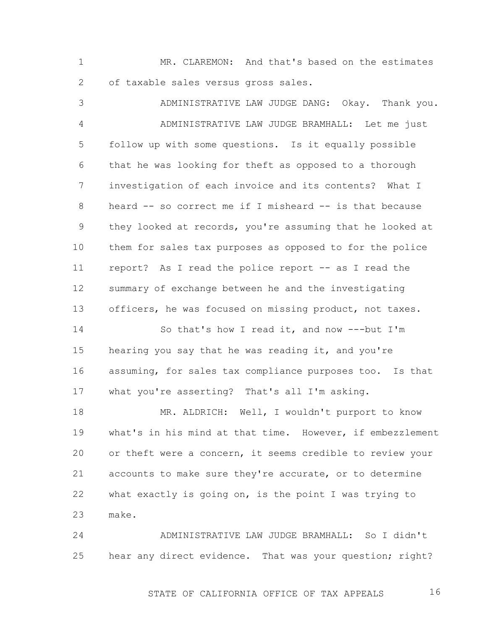1 2 MR. CLAREMON: And that's based on the estimates of taxable sales versus gross sales.

3 4 5 6 7 8 9 10 11 12 13 ADMINISTRATIVE LAW JUDGE DANG: Okay. Thank you. ADMINISTRATIVE LAW JUDGE BRAMHALL: Let me just follow up with some questions. Is it equally possible that he was looking for theft as opposed to a thorough investigation of each invoice and its contents? What I heard -- so correct me if I misheard -- is that because they looked at records, you're assuming that he looked at them for sales tax purposes as opposed to for the police report? As I read the police report -- as I read the summary of exchange between he and the investigating officers, he was focused on missing product, not taxes.

14 15 16 17 So that's how I read it, and now ---but I'm hearing you say that he was reading it, and you're assuming, for sales tax compliance purposes too. Is that what you're asserting? That's all I'm asking.

18 19 20 21 22 23 MR. ALDRICH: Well, I wouldn't purport to know what's in his mind at that time. However, if embezzlement or theft were a concern, it seems credible to review your accounts to make sure they're accurate, or to determine what exactly is going on, is the point I was trying to make.

24 25 ADMINISTRATIVE LAW JUDGE BRAMHALL: So I didn't hear any direct evidence. That was your question; right?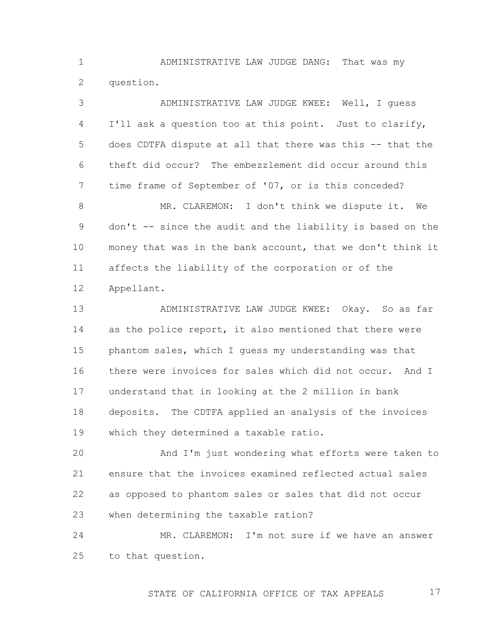1 2 ADMINISTRATIVE LAW JUDGE DANG: That was my question.

3 4 5 6 7 8 9 10 11 12 13 14 ADMINISTRATIVE LAW JUDGE KWEE: Well, I guess I'll ask a question too at this point. Just to clarify, does CDTFA dispute at all that there was this -- that the theft did occur? The embezzlement did occur around this time frame of September of '07, or is this conceded? MR. CLAREMON: I don't think we dispute it. We don't -- since the audit and the liability is based on the money that was in the bank account, that we don't think it affects the liability of the corporation or of the Appellant. ADMINISTRATIVE LAW JUDGE KWEE: Okay. So as far as the police report, it also mentioned that there were

16 17 18 19 there were invoices for sales which did not occur. And I understand that in looking at the 2 million in bank deposits. The CDTFA applied an analysis of the invoices which they determined a taxable ratio.

phantom sales, which I guess my understanding was that

15

20 21 22 23 And I'm just wondering what efforts were taken to ensure that the invoices examined reflected actual sales as opposed to phantom sales or sales that did not occur when determining the taxable ration?

24 25 MR. CLAREMON: I'm not sure if we have an answer to that question.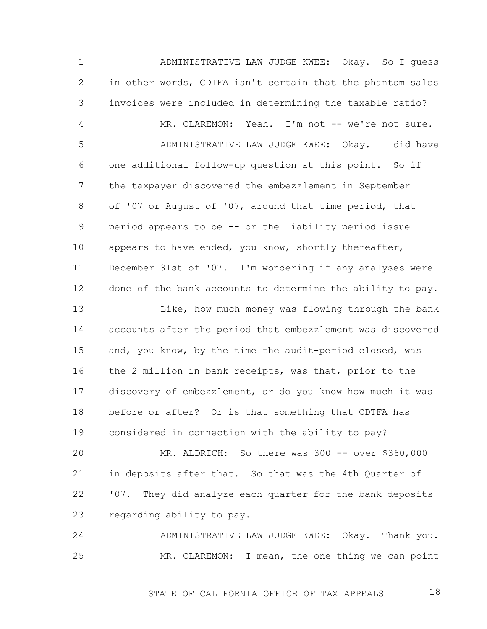1 2 3 4 5 6 7 8 9 10 11 12 13 14 15 16 17 18 19 20 21 22 ADMINISTRATIVE LAW JUDGE KWEE: Okay. So I guess in other words, CDTFA isn't certain that the phantom sales invoices were included in determining the taxable ratio? MR. CLAREMON: Yeah. I'm not -- we're not sure. ADMINISTRATIVE LAW JUDGE KWEE: Okay. I did have one additional follow-up question at this point. So if the taxpayer discovered the embezzlement in September of '07 or August of '07, around that time period, that period appears to be -- or the liability period issue appears to have ended, you know, shortly thereafter, December 31st of '07. I'm wondering if any analyses were done of the bank accounts to determine the ability to pay. Like, how much money was flowing through the bank accounts after the period that embezzlement was discovered and, you know, by the time the audit-period closed, was the 2 million in bank receipts, was that, prior to the discovery of embezzlement, or do you know how much it was before or after? Or is that something that CDTFA has considered in connection with the ability to pay? MR. ALDRICH: So there was 300 -- over \$360,000 in deposits after that. So that was the 4th Quarter of '07. They did analyze each quarter for the bank deposits

23 regarding ability to pay.

24 25 ADMINISTRATIVE LAW JUDGE KWEE: Okay. Thank you. MR. CLAREMON: I mean, the one thing we can point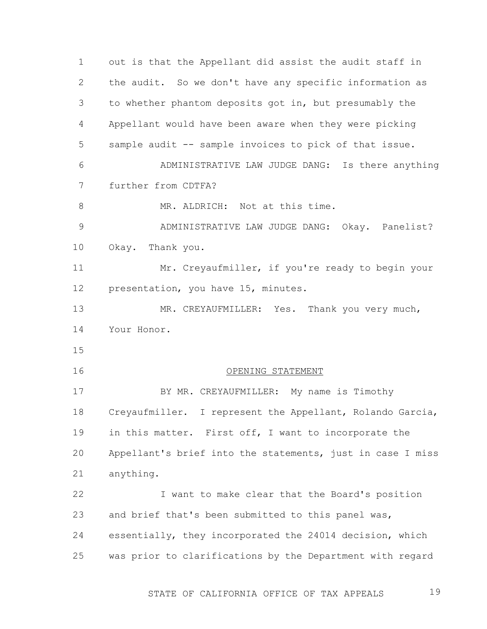1 2 3 4 5 6 7 8 9 10 11 12 13 14 15 16 17 18 19 20 21 22 23 24 25 out is that the Appellant did assist the audit staff in the audit. So we don't have any specific information as to whether phantom deposits got in, but presumably the Appellant would have been aware when they were picking sample audit -- sample invoices to pick of that issue. ADMINISTRATIVE LAW JUDGE DANG: Is there anything further from CDTFA? MR. ALDRICH: Not at this time. ADMINISTRATIVE LAW JUDGE DANG: Okay. Panelist? Okay. Thank you. Mr. Creyaufmiller, if you're ready to begin your presentation, you have 15, minutes. MR. CREYAUFMILLER: Yes. Thank you very much, Your Honor. OPENING STATEMENT BY MR. CREYAUFMILLER: My name is Timothy Creyaufmiller. I represent the Appellant, Rolando Garcia, in this matter. First off, I want to incorporate the Appellant's brief into the statements, just in case I miss anything. I want to make clear that the Board's position and brief that's been submitted to this panel was, essentially, they incorporated the 24014 decision, which was prior to clarifications by the Department with regard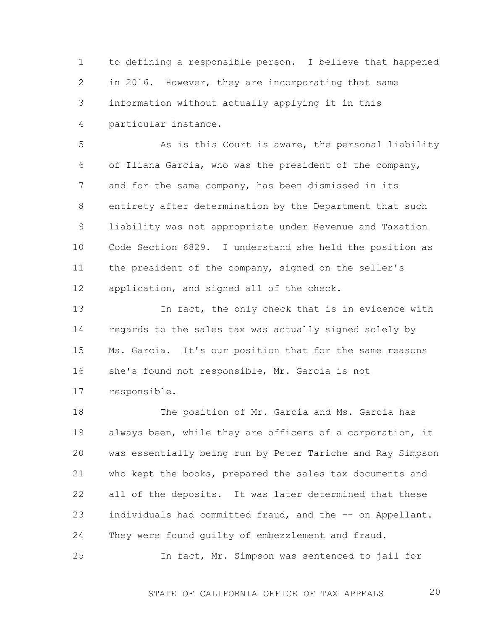1 2 3 4 to defining a responsible person. I believe that happened in 2016. However, they are incorporating that same information without actually applying it in this particular instance.

5 6 7 8 9 10 11 12 As is this Court is aware, the personal liability of Iliana Garcia, who was the president of the company, and for the same company, has been dismissed in its entirety after determination by the Department that such liability was not appropriate under Revenue and Taxation Code Section 6829. I understand she held the position as the president of the company, signed on the seller's application, and signed all of the check.

13 14 15 16 17 In fact, the only check that is in evidence with regards to the sales tax was actually signed solely by Ms. Garcia. It's our position that for the same reasons she's found not responsible, Mr. Garcia is not responsible.

18 19 20 21 22 23 24 The position of Mr. Garcia and Ms. Garcia has always been, while they are officers of a corporation, it was essentially being run by Peter Tariche and Ray Simpson who kept the books, prepared the sales tax documents and all of the deposits. It was later determined that these individuals had committed fraud, and the -- on Appellant. They were found quilty of embezzlement and fraud.

25 In fact, Mr. Simpson was sentenced to jail for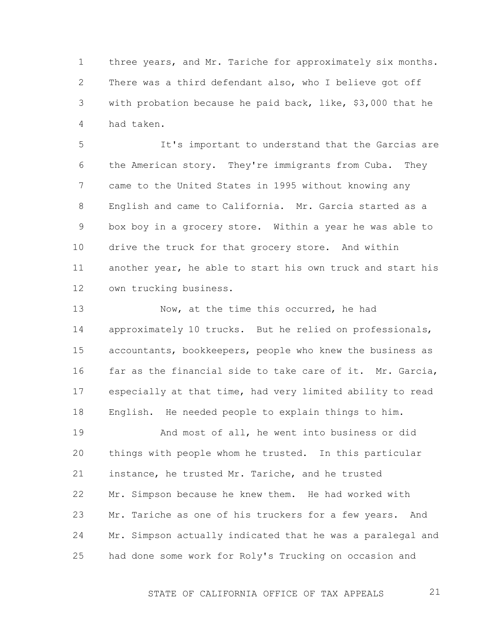1 2 3 4 three years, and Mr. Tariche for approximately six months. There was a third defendant also, who I believe got off with probation because he paid back, like, \$3,000 that he had taken.

5 6 7 8 9 10 11 12 It's important to understand that the Garcias are the American story. They're immigrants from Cuba. They came to the United States in 1995 without knowing any English and came to California. Mr. Garcia started as a box boy in a grocery store. Within a year he was able to drive the truck for that grocery store. And within another year, he able to start his own truck and start his own trucking business.

13 14 15 16 17 18 Now, at the time this occurred, he had approximately 10 trucks. But he relied on professionals, accountants, bookkeepers, people who knew the business as far as the financial side to take care of it. Mr. Garcia, especially at that time, had very limited ability to read English. He needed people to explain things to him.

19 20 21 22 23 24 25 And most of all, he went into business or did things with people whom he trusted. In this particular instance, he trusted Mr. Tariche, and he trusted Mr. Simpson because he knew them. He had worked with Mr. Tariche as one of his truckers for a few years. And Mr. Simpson actually indicated that he was a paralegal and had done some work for Roly's Trucking on occasion and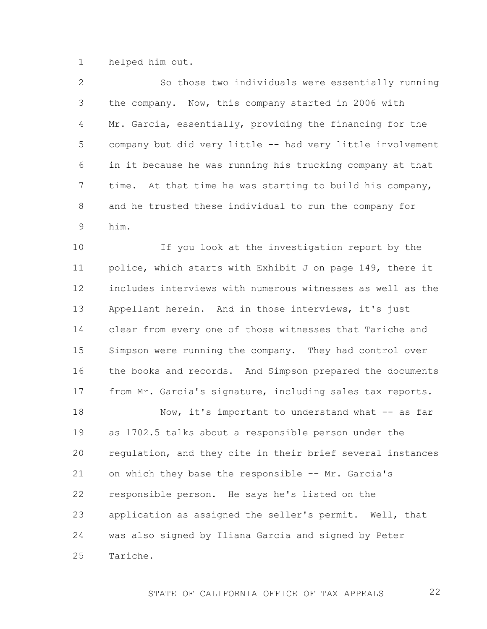1 helped him out.

2 3 4 5 6 7 8 9 So those two individuals were essentially running the company. Now, this company started in 2006 with Mr. Garcia, essentially, providing the financing for the company but did very little -- had very little involvement in it because he was running his trucking company at that time. At that time he was starting to build his company, and he trusted these individual to run the company for him.

10 11 12 13 14 15 16 17 If you look at the investigation report by the police, which starts with Exhibit J on page 149, there it includes interviews with numerous witnesses as well as the Appellant herein. And in those interviews, it's just clear from every one of those witnesses that Tariche and Simpson were running the company. They had control over the books and records. And Simpson prepared the documents from Mr. Garcia's signature, including sales tax reports.

18 19 20 21 22 23 24 25 Now, it's important to understand what -- as far as 1702.5 talks about a responsible person under the regulation, and they cite in their brief several instances on which they base the responsible -- Mr. Garcia's responsible person. He says he's listed on the application as assigned the seller's permit. Well, that was also signed by Iliana Garcia and signed by Peter Tariche.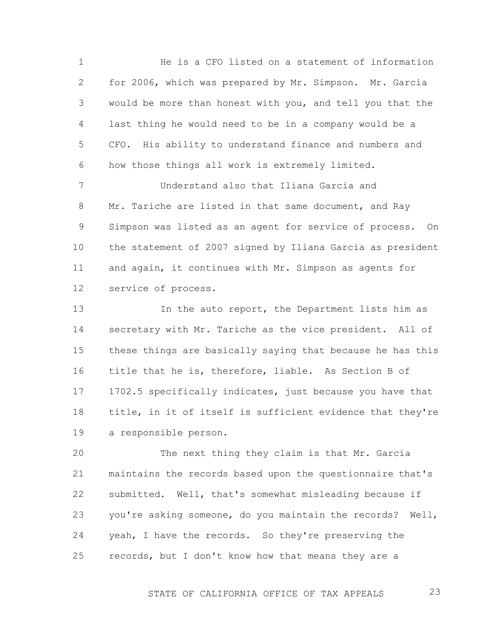1 2 3 4 5 6 He is a CFO listed on a statement of information for 2006, which was prepared by Mr. Simpson. Mr. Garcia would be more than honest with you, and tell you that the last thing he would need to be in a company would be a CFO. His ability to understand finance and numbers and how those things all work is extremely limited.

7 8 9 10 11 12 Understand also that Iliana Garcia and Mr. Tariche are listed in that same document, and Ray Simpson was listed as an agent for service of process. On the statement of 2007 signed by Iliana Garcia as president and again, it continues with Mr. Simpson as agents for service of process.

13 14 15 16 17 18 19 In the auto report, the Department lists him as secretary with Mr. Tariche as the vice president. All of these things are basically saying that because he has this title that he is, therefore, liable. As Section B of 1702.5 specifically indicates, just because you have that title, in it of itself is sufficient evidence that they're a responsible person.

20 21 22 23 24 25 The next thing they claim is that Mr. Garcia maintains the records based upon the questionnaire that's submitted. Well, that's somewhat misleading because if you're asking someone, do you maintain the records? Well, yeah, I have the records. So they're preserving the records, but I don't know how that means they are a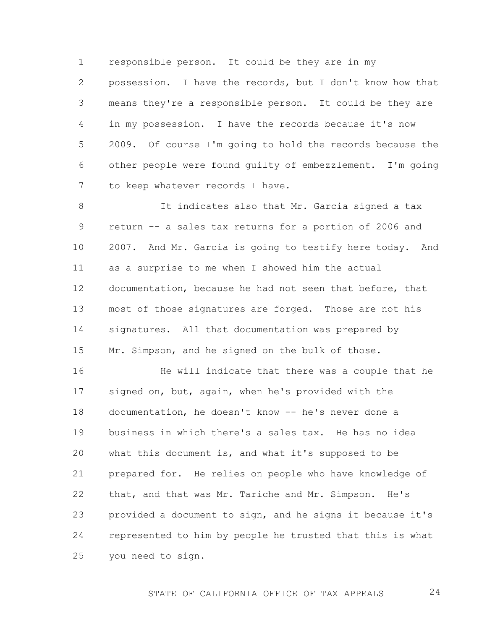1 2 3 4 5 6 7 responsible person. It could be they are in my possession. I have the records, but I don't know how that means they're a responsible person. It could be they are in my possession. I have the records because it's now 2009. Of course I'm going to hold the records because the other people were found guilty of embezzlement. I'm going to keep whatever records I have.

8 9 10 11 12 13 14 15 It indicates also that Mr. Garcia signed a tax return -- a sales tax returns for a portion of 2006 and 2007. And Mr. Garcia is going to testify here today. And as a surprise to me when I showed him the actual documentation, because he had not seen that before, that most of those signatures are forged. Those are not his signatures. All that documentation was prepared by Mr. Simpson, and he signed on the bulk of those.

16 17 18 19 20 21 22 23 24 25 He will indicate that there was a couple that he signed on, but, again, when he's provided with the documentation, he doesn't know -- he's never done a business in which there's a sales tax. He has no idea what this document is, and what it's supposed to be prepared for. He relies on people who have knowledge of that, and that was Mr. Tariche and Mr. Simpson. He's provided a document to sign, and he signs it because it's represented to him by people he trusted that this is what you need to sign.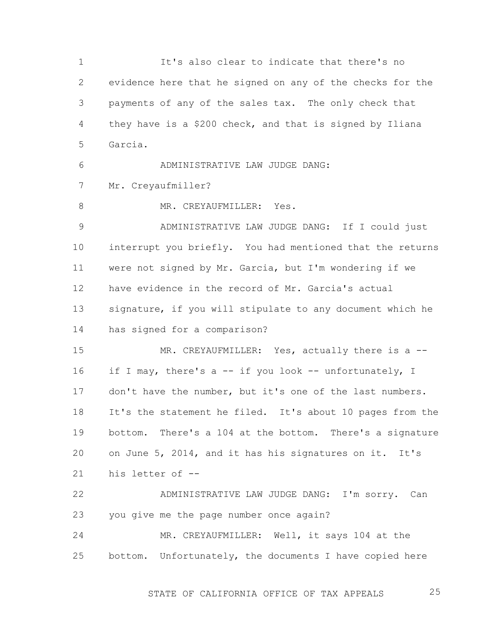1 2 3 4 5 6 7 8 9 10 11 12 13 14 15 16 17 18 19 20 21 22 23 24 25 It's also clear to indicate that there's no evidence here that he signed on any of the checks for the payments of any of the sales tax. The only check that they have is a \$200 check, and that is signed by Iliana Garcia. ADMINISTRATIVE LAW JUDGE DANG: Mr. Creyaufmiller? MR. CREYAUFMILLER: Yes. ADMINISTRATIVE LAW JUDGE DANG: If I could just interrupt you briefly. You had mentioned that the returns were not signed by Mr. Garcia, but I'm wondering if we have evidence in the record of Mr. Garcia's actual signature, if you will stipulate to any document which he has signed for a comparison? MR. CREYAUFMILLER: Yes, actually there is a -if I may, there's a -- if you look -- unfortunately, I don't have the number, but it's one of the last numbers. It's the statement he filed. It's about 10 pages from the bottom. There's a 104 at the bottom. There's a signature on June 5, 2014, and it has his signatures on it. It's his letter of -- ADMINISTRATIVE LAW JUDGE DANG: I'm sorry. Can you give me the page number once again? MR. CREYAUFMILLER: Well, it says 104 at the bottom. Unfortunately, the documents I have copied here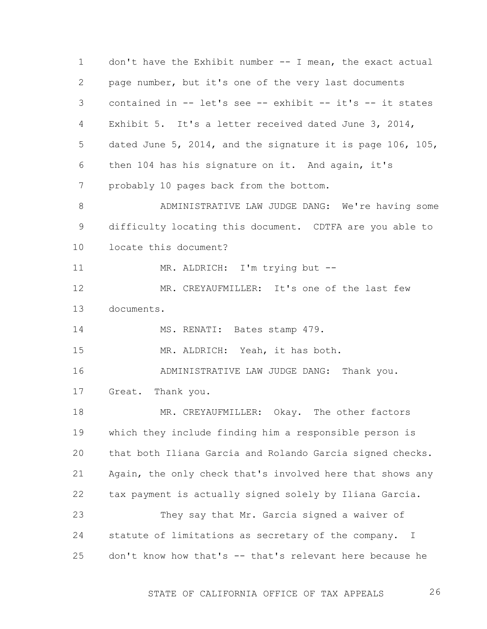1 2 3 4 5 6 7 8 9 10 11 12 13 14 15 16 17 18 19 20 21 22 23 24 25 don't have the Exhibit number -- I mean, the exact actual page number, but it's one of the very last documents contained in -- let's see -- exhibit -- it's -- it states Exhibit 5. It's a letter received dated June 3, 2014, dated June 5, 2014, and the signature it is page 106, 105, then 104 has his signature on it. And again, it's probably 10 pages back from the bottom. ADMINISTRATIVE LAW JUDGE DANG: We're having some difficulty locating this document. CDTFA are you able to locate this document? MR. ALDRICH: I'm trying but --MR. CREYAUFMILLER: It's one of the last few documents. MS. RENATI: Bates stamp 479. MR. ALDRICH: Yeah, it has both. ADMINISTRATIVE LAW JUDGE DANG: Thank you. Great. Thank you. MR. CREYAUFMILLER: Okay. The other factors which they include finding him a responsible person is that both Iliana Garcia and Rolando Garcia signed checks. Again, the only check that's involved here that shows any tax payment is actually signed solely by Iliana Garcia. They say that Mr. Garcia signed a waiver of statute of limitations as secretary of the company. I don't know how that's -- that's relevant here because he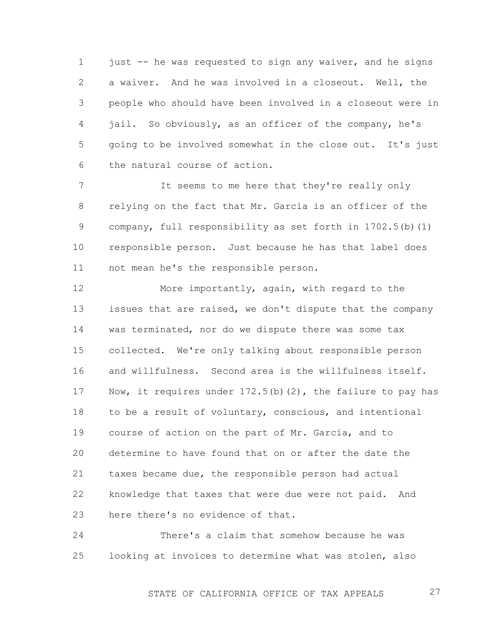1 2 3 4 5 6 just -- he was requested to sign any waiver, and he signs a waiver. And he was involved in a closeout. Well, the people who should have been involved in a closeout were in jail. So obviously, as an officer of the company, he's going to be involved somewhat in the close out. It's just the natural course of action.

7 8 9 10 11 It seems to me here that they're really only relying on the fact that Mr. Garcia is an officer of the company, full responsibility as set forth in  $1702.5(b)$  (1) responsible person. Just because he has that label does not mean he's the responsible person.

12 13 14 15 16 17 18 19 20 21 22 23 More importantly, again, with regard to the issues that are raised, we don't dispute that the company was terminated, nor do we dispute there was some tax collected. We're only talking about responsible person and willfulness. Second area is the willfulness itself. Now, it requires under  $172.5(b)(2)$ , the failure to pay has to be a result of voluntary, conscious, and intentional course of action on the part of Mr. Garcia, and to determine to have found that on or after the date the taxes became due, the responsible person had actual knowledge that taxes that were due were not paid. And here there's no evidence of that.

24 25 There's a claim that somehow because he was looking at invoices to determine what was stolen, also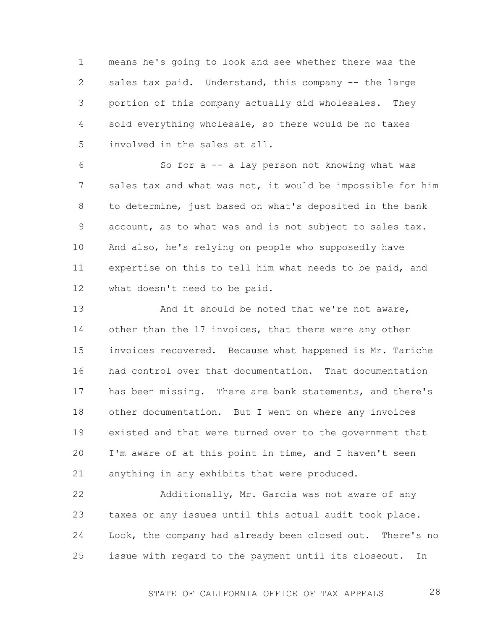1 2 3 4 5 means he's going to look and see whether there was the sales tax paid. Understand, this company -- the large portion of this company actually did wholesales. They sold everything wholesale, so there would be no taxes involved in the sales at all.

6 7 8 9 10 11 12 So for a -- a lay person not knowing what was sales tax and what was not, it would be impossible for him to determine, just based on what's deposited in the bank account, as to what was and is not subject to sales tax. And also, he's relying on people who supposedly have expertise on this to tell him what needs to be paid, and what doesn't need to be paid.

13 14 15 16 17 18 19 20 21 And it should be noted that we're not aware, other than the 17 invoices, that there were any other invoices recovered. Because what happened is Mr. Tariche had control over that documentation. That documentation has been missing. There are bank statements, and there's other documentation. But I went on where any invoices existed and that were turned over to the government that I'm aware of at this point in time, and I haven't seen anything in any exhibits that were produced.

22 23 24 25 Additionally, Mr. Garcia was not aware of any taxes or any issues until this actual audit took place. Look, the company had already been closed out. There's no issue with regard to the payment until its closeout. In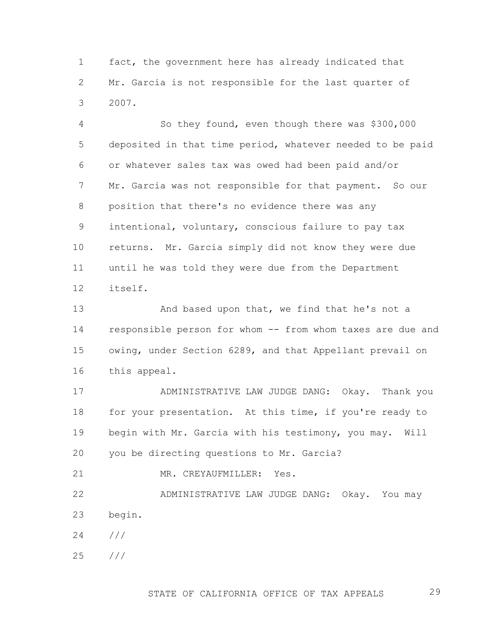1 2 3 fact, the government here has already indicated that Mr. Garcia is not responsible for the last quarter of 2007.

4 5 6 7 8 9 10 11 12 So they found, even though there was \$300,000 deposited in that time period, whatever needed to be paid or whatever sales tax was owed had been paid and/or Mr. Garcia was not responsible for that payment. So our position that there's no evidence there was any intentional, voluntary, conscious failure to pay tax returns. Mr. Garcia simply did not know they were due until he was told they were due from the Department itself.

13 14 15 16 And based upon that, we find that he's not a responsible person for whom -- from whom taxes are due and owing, under Section 6289, and that Appellant prevail on this appeal.

17 18 19 20 ADMINISTRATIVE LAW JUDGE DANG: Okay. Thank you for your presentation. At this time, if you're ready to begin with Mr. Garcia with his testimony, you may. Will you be directing questions to Mr. Garcia?

21 MR. CREYAUFMILLER: Yes.

22 23 ADMINISTRATIVE LAW JUDGE DANG: Okay. You may begin.

- 24 ///
- 25 ///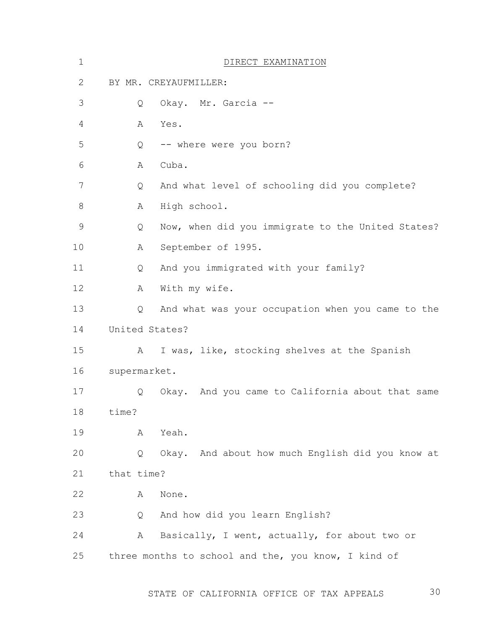| $\mathbf 1$   |                | DIRECT EXAMINATION                                  |  |  |  |  |  |
|---------------|----------------|-----------------------------------------------------|--|--|--|--|--|
| $\mathbf{2}$  |                | BY MR. CREYAUFMILLER:                               |  |  |  |  |  |
| 3             | Q              | Okay. Mr. Garcia --                                 |  |  |  |  |  |
| 4             | Α              | Yes.                                                |  |  |  |  |  |
| 5             | Q              | -- where were you born?                             |  |  |  |  |  |
| 6             | Α              | Cuba.                                               |  |  |  |  |  |
| 7             | Q              | And what level of schooling did you complete?       |  |  |  |  |  |
| 8             | Α              | High school.                                        |  |  |  |  |  |
| $\mathcal{G}$ | Q              | Now, when did you immigrate to the United States?   |  |  |  |  |  |
| 10            | А              | September of 1995.                                  |  |  |  |  |  |
| 11            | Q              | And you immigrated with your family?                |  |  |  |  |  |
| 12            | Α              | With my wife.                                       |  |  |  |  |  |
| 13            | Q              | And what was your occupation when you came to the   |  |  |  |  |  |
| 14            | United States? |                                                     |  |  |  |  |  |
| 15            | A              | I was, like, stocking shelves at the Spanish        |  |  |  |  |  |
| 16            | supermarket.   |                                                     |  |  |  |  |  |
| 17            | Q              | Okay. And you came to California about that same    |  |  |  |  |  |
| 18            | time?          |                                                     |  |  |  |  |  |
| 19            | Α              | Yeah.                                               |  |  |  |  |  |
| 20            | Q              | Okay. And about how much English did you know at    |  |  |  |  |  |
| 21            | that time?     |                                                     |  |  |  |  |  |
| 22            | Α              | None.                                               |  |  |  |  |  |
| 23            | Q              | And how did you learn English?                      |  |  |  |  |  |
| 24            | Α              | Basically, I went, actually, for about two or       |  |  |  |  |  |
| 25            |                | three months to school and the, you know, I kind of |  |  |  |  |  |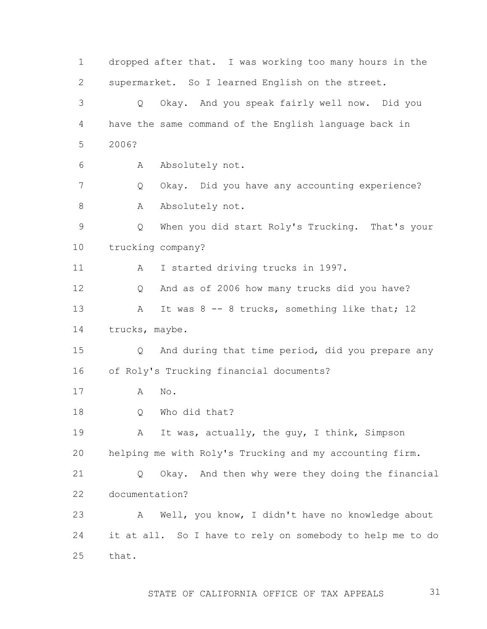1 2 3 4 5 6 7 8 9 10 11 12 13 14 15 16 17 18 19 20 21 22 23 24 25 dropped after that. I was working too many hours in the supermarket. So I learned English on the street. Q Okay. And you speak fairly well now. Did you have the same command of the English language back in 2006? A Absolutely not. Q Okay. Did you have any accounting experience? A Absolutely not. Q When you did start Roly's Trucking. That's your trucking company? A I started driving trucks in 1997. Q And as of 2006 how many trucks did you have? A It was 8 -- 8 trucks, something like that; 12 trucks, maybe. Q And during that time period, did you prepare any of Roly's Trucking financial documents? A No. Q Who did that? A It was, actually, the guy, I think, Simpson helping me with Roly's Trucking and my accounting firm. Q Okay. And then why were they doing the financial documentation? A Well, you know, I didn't have no knowledge about it at all. So I have to rely on somebody to help me to do that.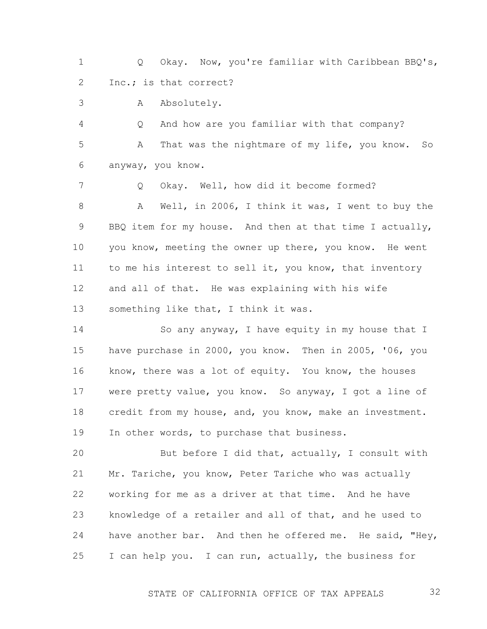1 2 Q Okay. Now, you're familiar with Caribbean BBQ's, Inc.; is that correct?

3 A Absolutely.

4 5 6 Q And how are you familiar with that company? A That was the nightmare of my life, you know. So anyway, you know.

7 8 9 10 11 12 13 Q Okay. Well, how did it become formed? A Well, in 2006, I think it was, I went to buy the BBQ item for my house. And then at that time I actually, you know, meeting the owner up there, you know. He went to me his interest to sell it, you know, that inventory and all of that. He was explaining with his wife something like that, I think it was.

14 15 16 17 18 19 So any anyway, I have equity in my house that I have purchase in 2000, you know. Then in 2005, '06, you know, there was a lot of equity. You know, the houses were pretty value, you know. So anyway, I got a line of credit from my house, and, you know, make an investment. In other words, to purchase that business.

20 21 22 23 24 25 But before I did that, actually, I consult with Mr. Tariche, you know, Peter Tariche who was actually working for me as a driver at that time. And he have knowledge of a retailer and all of that, and he used to have another bar. And then he offered me. He said, "Hey, I can help you. I can run, actually, the business for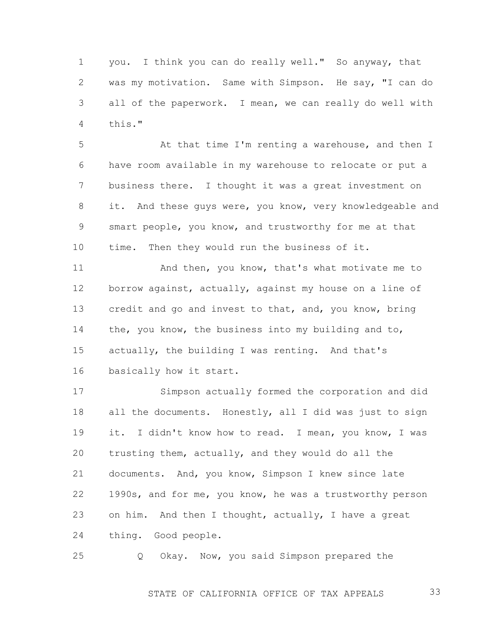1 2 3 4 you. I think you can do really well." So anyway, that was my motivation. Same with Simpson. He say, "I can do all of the paperwork. I mean, we can really do well with this."

5 6 7 8 9 10 At that time I'm renting a warehouse, and then I have room available in my warehouse to relocate or put a business there. I thought it was a great investment on it. And these guys were, you know, very knowledgeable and smart people, you know, and trustworthy for me at that time. Then they would run the business of it.

11 12 13 14 15 16 And then, you know, that's what motivate me to borrow against, actually, against my house on a line of credit and go and invest to that, and, you know, bring the, you know, the business into my building and to, actually, the building I was renting. And that's basically how it start.

17 18 19 20 21 22 23 24 Simpson actually formed the corporation and did all the documents. Honestly, all I did was just to sign it. I didn't know how to read. I mean, you know, I was trusting them, actually, and they would do all the documents. And, you know, Simpson I knew since late 1990s, and for me, you know, he was a trustworthy person on him. And then I thought, actually, I have a great thing. Good people.

25 Q Okay. Now, you said Simpson prepared the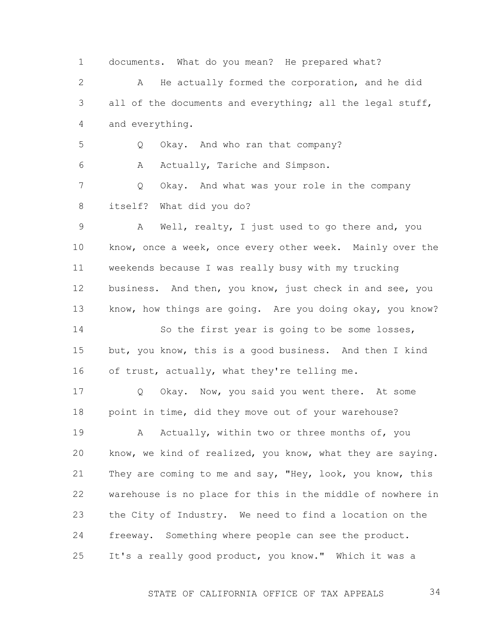1 2 3 4 5 6 7 8 9 10 11 12 13 14 15 16 17 18 19 20 21 22 23 24 25 documents. What do you mean? He prepared what? A He actually formed the corporation, and he did all of the documents and everything; all the legal stuff, and everything. Q Okay. And who ran that company? A Actually, Tariche and Simpson. Q Okay. And what was your role in the company itself? What did you do? A Well, realty, I just used to go there and, you know, once a week, once every other week. Mainly over the weekends because I was really busy with my trucking business. And then, you know, just check in and see, you know, how things are going. Are you doing okay, you know? So the first year is going to be some losses, but, you know, this is a good business. And then I kind of trust, actually, what they're telling me. Q Okay. Now, you said you went there. At some point in time, did they move out of your warehouse? A Actually, within two or three months of, you know, we kind of realized, you know, what they are saying. They are coming to me and say, "Hey, look, you know, this warehouse is no place for this in the middle of nowhere in the City of Industry. We need to find a location on the freeway. Something where people can see the product. It's a really good product, you know." Which it was a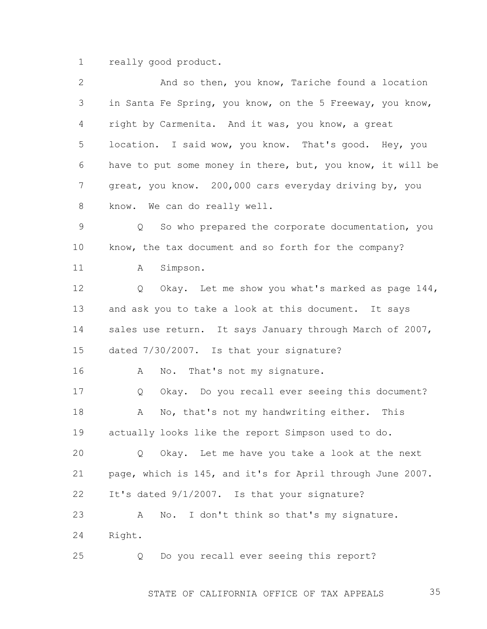1 really good product.

| $\overline{2}$ | And so then, you know, Tariche found a location                   |
|----------------|-------------------------------------------------------------------|
| 3              | in Santa Fe Spring, you know, on the 5 Freeway, you know,         |
| 4              | right by Carmenita. And it was, you know, a great                 |
| 5              | location. I said wow, you know. That's good. Hey, you             |
| 6              | have to put some money in there, but, you know, it will be        |
| $\overline{7}$ | great, you know. 200,000 cars everyday driving by, you            |
| 8              | know. We can do really well.                                      |
| $\mathsf 9$    | So who prepared the corporate documentation, you<br>$Q_{\rm max}$ |
| 10             | know, the tax document and so forth for the company?              |
| 11             | Simpson.<br>A                                                     |
| 12             | Okay. Let me show you what's marked as page 144,<br>Q             |
| 13             | and ask you to take a look at this document. It says              |
| 14             | sales use return. It says January through March of 2007,          |
| 15             | dated 7/30/2007. Is that your signature?                          |
| 16             | No. That's not my signature.<br>A                                 |
| 17             | Okay. Do you recall ever seeing this document?<br>Q               |
| 18             | No, that's not my handwriting either. This<br>A                   |
| 19             | actually looks like the report Simpson used to do.                |
| 20             | Okay. Let me have you take a look at the next<br>Q                |
| 21             | page, which is 145, and it's for April through June 2007.         |
| 22             | It's dated 9/1/2007. Is that your signature?                      |
| 23             | No.<br>I don't think so that's my signature.<br>A                 |
| 24             | Right.                                                            |
| 25             | Do you recall ever seeing this report?<br>Q                       |
|                |                                                                   |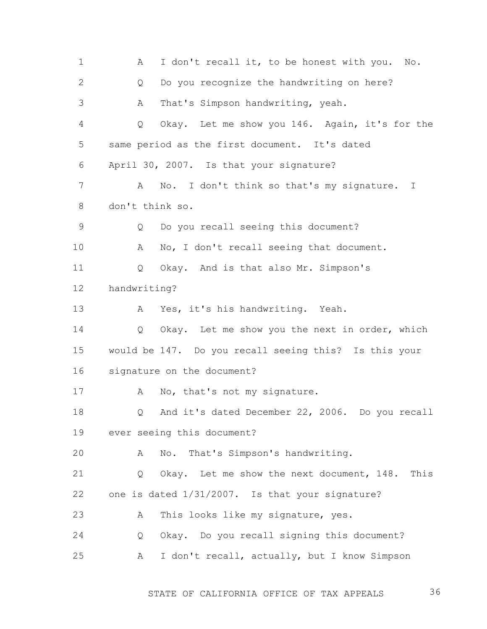1 2 3 4 5 6 7 8 9 10 11 12 13 14 15 16 17 18 19 20 21 22 23 24 25 A I don't recall it, to be honest with you. No. Q Do you recognize the handwriting on here? A That's Simpson handwriting, yeah. Q Okay. Let me show you 146. Again, it's for the same period as the first document. It's dated April 30, 2007. Is that your signature? A No. I don't think so that's my signature. I don't think so. Q Do you recall seeing this document? A No, I don't recall seeing that document. Q Okay. And is that also Mr. Simpson's handwriting? A Yes, it's his handwriting. Yeah. Q Okay. Let me show you the next in order, which would be 147. Do you recall seeing this? Is this your signature on the document? A No, that's not my signature. Q And it's dated December 22, 2006. Do you recall ever seeing this document? A No. That's Simpson's handwriting. Q Okay. Let me show the next document, 148. This one is dated 1/31/2007. Is that your signature? A This looks like my signature, yes. Q Okay. Do you recall signing this document? A I don't recall, actually, but I know Simpson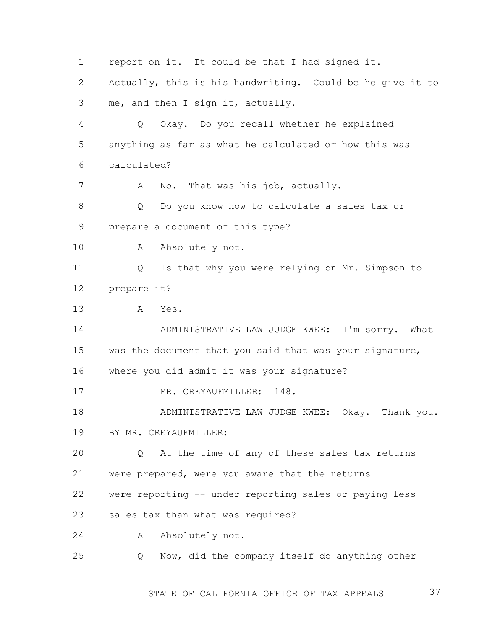1 2 3 4 5 6 7 8 9 10 11 12 13 14 15 16 17 18 19 20 21 22 23 24 25 report on it. It could be that I had signed it. Actually, this is his handwriting. Could be he give it to me, and then I sign it, actually. Q Okay. Do you recall whether he explained anything as far as what he calculated or how this was calculated? A No. That was his job, actually. Q Do you know how to calculate a sales tax or prepare a document of this type? A Absolutely not. Q Is that why you were relying on Mr. Simpson to prepare it? A Yes. ADMINISTRATIVE LAW JUDGE KWEE: I'm sorry. What was the document that you said that was your signature, where you did admit it was your signature? MR. CREYAUFMILLER: 148. ADMINISTRATIVE LAW JUDGE KWEE: Okay. Thank you. BY MR. CREYAUFMILLER: Q At the time of any of these sales tax returns were prepared, were you aware that the returns were reporting -- under reporting sales or paying less sales tax than what was required? A Absolutely not. Q Now, did the company itself do anything other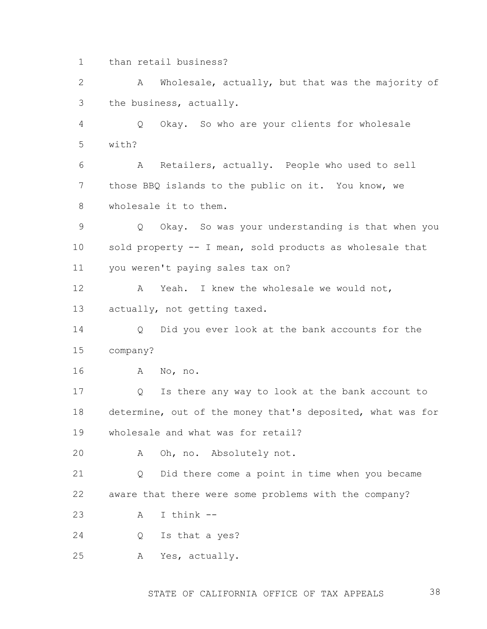1 than retail business?

2 3 A Wholesale, actually, but that was the majority of the business, actually.

4 5 Q Okay. So who are your clients for wholesale with?

6 7 8 A Retailers, actually. People who used to sell those BBQ islands to the public on it. You know, we wholesale it to them.

9 10 11 Q Okay. So was your understanding is that when you sold property -- I mean, sold products as wholesale that you weren't paying sales tax on?

12 13 A Yeah. I knew the wholesale we would not, actually, not getting taxed.

14 15 Q Did you ever look at the bank accounts for the company?

16 A No, no.

17 18 19 Q Is there any way to look at the bank account to determine, out of the money that's deposited, what was for wholesale and what was for retail?

20 A Oh, no. Absolutely not.

21 22 Q Did there come a point in time when you became aware that there were some problems with the company?

23 A I think --

24 Q Is that a yes?

25 A Yes, actually.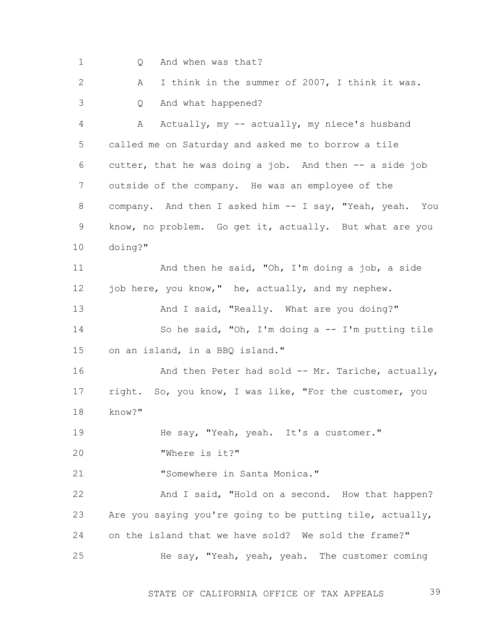1 2 3 4 5 6 7 8 9 10 11 12 13 14 15 16 17 18 19 20 21 22 23 24 25 Q And when was that? A I think in the summer of 2007, I think it was. Q And what happened? A Actually, my -- actually, my niece's husband called me on Saturday and asked me to borrow a tile cutter, that he was doing a job. And then -- a side job outside of the company. He was an employee of the company. And then I asked him -- I say, "Yeah, yeah. You know, no problem. Go get it, actually. But what are you doing?" And then he said, "Oh, I'm doing a job, a side job here, you know," he, actually, and my nephew. And I said, "Really. What are you doing?" So he said, "Oh, I'm doing a -- I'm putting tile on an island, in a BBQ island." And then Peter had sold -- Mr. Tariche, actually, right. So, you know, I was like, "For the customer, you know?" He say, "Yeah, yeah. It's a customer." "Where is it?" "Somewhere in Santa Monica." And I said, "Hold on a second. How that happen? Are you saying you're going to be putting tile, actually, on the island that we have sold? We sold the frame?" He say, "Yeah, yeah, yeah. The customer coming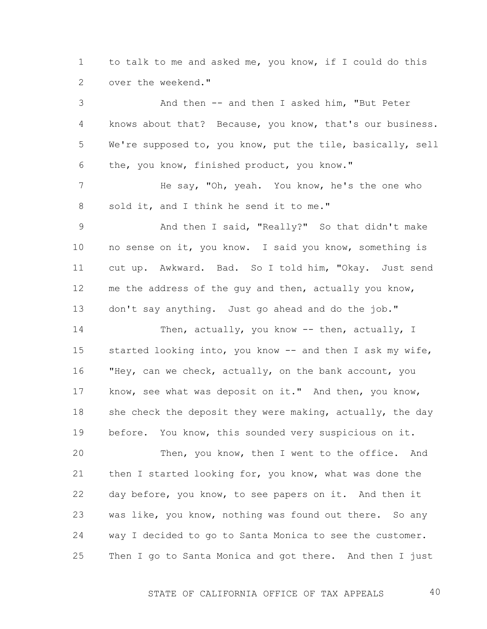1 2 to talk to me and asked me, you know, if I could do this over the weekend."

3 4 5 6 7 8 9 10 11 12 13 14 15 16 And then -- and then I asked him, "But Peter knows about that? Because, you know, that's our business. We're supposed to, you know, put the tile, basically, sell the, you know, finished product, you know." He say, "Oh, yeah. You know, he's the one who sold it, and I think he send it to me." And then I said, "Really?" So that didn't make no sense on it, you know. I said you know, something is cut up. Awkward. Bad. So I told him, "Okay. Just send me the address of the guy and then, actually you know, don't say anything. Just go ahead and do the job." Then, actually, you know -- then, actually, I started looking into, you know -- and then I ask my wife, "Hey, can we check, actually, on the bank account, you

17 18 19 know, see what was deposit on it." And then, you know, she check the deposit they were making, actually, the day before. You know, this sounded very suspicious on it.

20 21 22 23 24 25 Then, you know, then I went to the office. And then I started looking for, you know, what was done the day before, you know, to see papers on it. And then it was like, you know, nothing was found out there. So any way I decided to go to Santa Monica to see the customer. Then I go to Santa Monica and got there. And then I just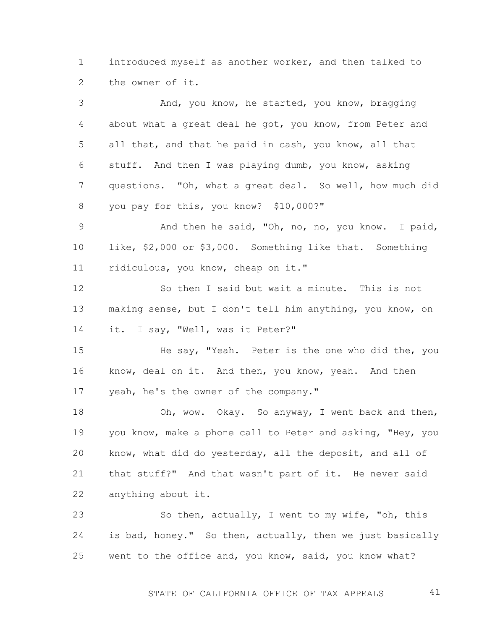1 2 introduced myself as another worker, and then talked to the owner of it.

3 4 5 6 7 8 And, you know, he started, you know, bragging about what a great deal he got, you know, from Peter and all that, and that he paid in cash, you know, all that stuff. And then I was playing dumb, you know, asking questions. "Oh, what a great deal. So well, how much did you pay for this, you know? \$10,000?"

9 10 11 And then he said, "Oh, no, no, you know. I paid, like, \$2,000 or \$3,000. Something like that. Something ridiculous, you know, cheap on it."

12 13 14 So then I said but wait a minute. This is not making sense, but I don't tell him anything, you know, on it. I say, "Well, was it Peter?"

15 16 17 He say, "Yeah. Peter is the one who did the, you know, deal on it. And then, you know, yeah. And then yeah, he's the owner of the company."

18 19 20 21 22 Oh, wow. Okay. So anyway, I went back and then, you know, make a phone call to Peter and asking, "Hey, you know, what did do yesterday, all the deposit, and all of that stuff?" And that wasn't part of it. He never said anything about it.

23 24 25 So then, actually, I went to my wife, "oh, this is bad, honey." So then, actually, then we just basically went to the office and, you know, said, you know what?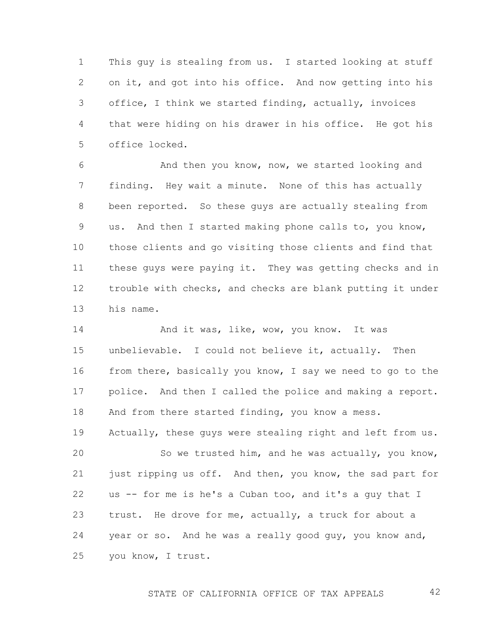1 2 3 4 5 This guy is stealing from us. I started looking at stuff on it, and got into his office. And now getting into his office, I think we started finding, actually, invoices that were hiding on his drawer in his office. He got his office locked.

6 7 8 9 10 11 12 13 And then you know, now, we started looking and finding. Hey wait a minute. None of this has actually been reported. So these guys are actually stealing from us. And then I started making phone calls to, you know, those clients and go visiting those clients and find that these guys were paying it. They was getting checks and in trouble with checks, and checks are blank putting it under his name.

14 15 16 17 18 And it was, like, wow, you know. It was unbelievable. I could not believe it, actually. Then from there, basically you know, I say we need to go to the police. And then I called the police and making a report. And from there started finding, you know a mess.

19 Actually, these guys were stealing right and left from us.

20 21 22 23 24 25 So we trusted him, and he was actually, you know, just ripping us off. And then, you know, the sad part for us -- for me is he's a Cuban too, and it's a guy that I trust. He drove for me, actually, a truck for about a year or so. And he was a really good guy, you know and, you know, I trust.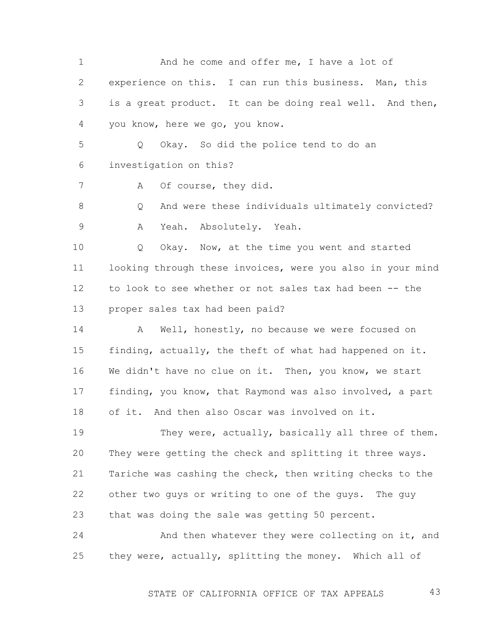1 2 3 4 And he come and offer me, I have a lot of experience on this. I can run this business. Man, this is a great product. It can be doing real well. And then, you know, here we go, you know.

5 6 Q Okay. So did the police tend to do an investigation on this?

A Of course, they did.

7

8 9 Q And were these individuals ultimately convicted? A Yeah. Absolutely. Yeah.

10 11 12 13 Q Okay. Now, at the time you went and started looking through these invoices, were you also in your mind to look to see whether or not sales tax had been -- the proper sales tax had been paid?

14 15 16 17 18 A Well, honestly, no because we were focused on finding, actually, the theft of what had happened on it. We didn't have no clue on it. Then, you know, we start finding, you know, that Raymond was also involved, a part of it. And then also Oscar was involved on it.

19 20 21 22 23 They were, actually, basically all three of them. They were getting the check and splitting it three ways. Tariche was cashing the check, then writing checks to the other two guys or writing to one of the guys. The guy that was doing the sale was getting 50 percent.

24 25 And then whatever they were collecting on it, and they were, actually, splitting the money. Which all of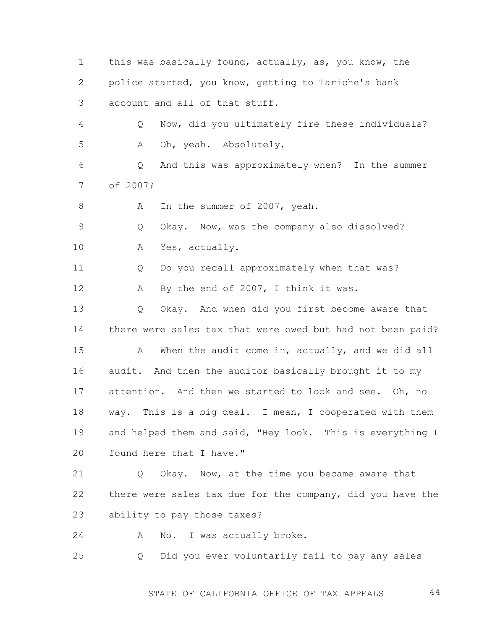1 2 3 4 5 6 7 8 9 10 11 12 13 14 15 16 17 18 19 20 21 22 23 24 25 this was basically found, actually, as, you know, the police started, you know, getting to Tariche's bank account and all of that stuff. Q Now, did you ultimately fire these individuals? A Oh, yeah. Absolutely. Q And this was approximately when? In the summer of 2007? A In the summer of 2007, yeah. Q Okay. Now, was the company also dissolved? A Yes, actually. Q Do you recall approximately when that was? A By the end of 2007, I think it was. Q Okay. And when did you first become aware that there were sales tax that were owed but had not been paid? A When the audit come in, actually, and we did all audit. And then the auditor basically brought it to my attention. And then we started to look and see. Oh, no way. This is a big deal. I mean, I cooperated with them and helped them and said, "Hey look. This is everything I found here that I have." Q Okay. Now, at the time you became aware that there were sales tax due for the company, did you have the ability to pay those taxes? A No. I was actually broke. Q Did you ever voluntarily fail to pay any sales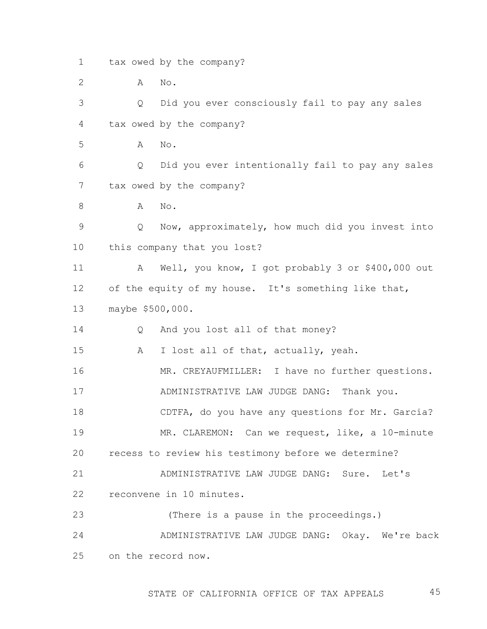1 tax owed by the company?

2 A No.

3 4 Q Did you ever consciously fail to pay any sales tax owed by the company?

5 A No.

6 7 Q Did you ever intentionally fail to pay any sales tax owed by the company?

8 A No.

9 10 Q Now, approximately, how much did you invest into this company that you lost?

11 12 13 A Well, you know, I got probably 3 or \$400,000 out of the equity of my house. It's something like that, maybe \$500,000.

14 Q And you lost all of that money?

15 A I lost all of that, actually, yeah.

16 17 MR. CREYAUFMILLER: I have no further questions. ADMINISTRATIVE LAW JUDGE DANG: Thank you.

18 CDTFA, do you have any questions for Mr. Garcia?

19 20 MR. CLAREMON: Can we request, like, a 10-minute recess to review his testimony before we determine?

21 22 ADMINISTRATIVE LAW JUDGE DANG: Sure. Let's reconvene in 10 minutes.

23 (There is a pause in the proceedings.)

24 25 ADMINISTRATIVE LAW JUDGE DANG: Okay. We're back on the record now.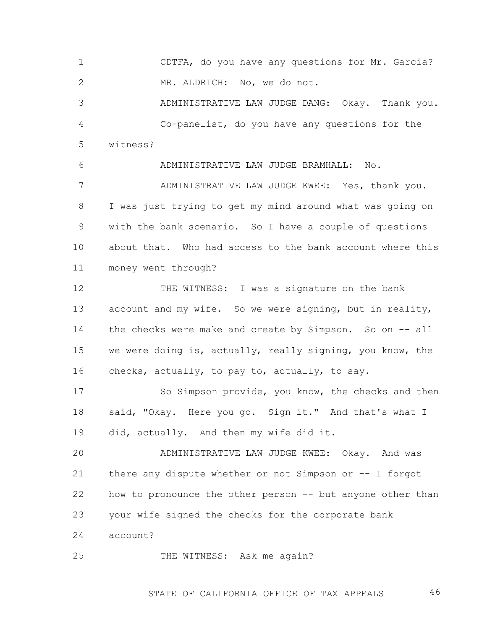1 2 CDTFA, do you have any questions for Mr. Garcia? MR. ALDRICH: No, we do not.

3 4 5 ADMINISTRATIVE LAW JUDGE DANG: Okay. Thank you. Co-panelist, do you have any questions for the witness?

6 7 8 9 10 11 ADMINISTRATIVE LAW JUDGE BRAMHALL: No. ADMINISTRATIVE LAW JUDGE KWEE: Yes, thank you. I was just trying to get my mind around what was going on with the bank scenario. So I have a couple of questions about that. Who had access to the bank account where this money went through?

12 13 14 15 16 THE WITNESS: I was a signature on the bank account and my wife. So we were signing, but in reality, the checks were make and create by Simpson. So on -- all we were doing is, actually, really signing, you know, the checks, actually, to pay to, actually, to say.

17 18 19 So Simpson provide, you know, the checks and then said, "Okay. Here you go. Sign it." And that's what I did, actually. And then my wife did it.

20 21 22 23 ADMINISTRATIVE LAW JUDGE KWEE: Okay. And was there any dispute whether or not Simpson or -- I forgot how to pronounce the other person -- but anyone other than your wife signed the checks for the corporate bank

24 account?

25 THE WITNESS: Ask me again?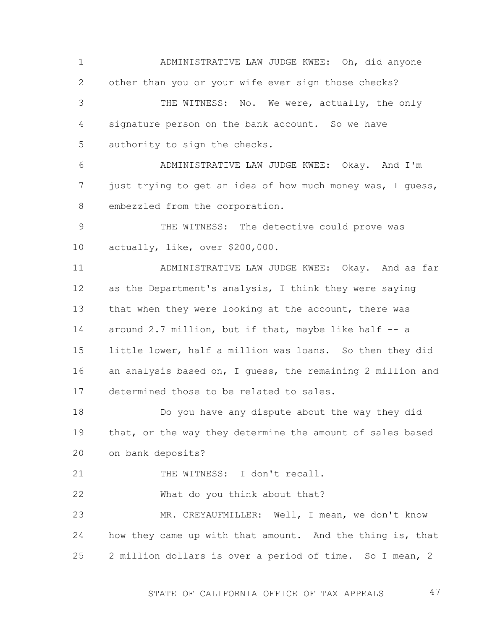1 2 3 4 5 6 ADMINISTRATIVE LAW JUDGE KWEE: Oh, did anyone other than you or your wife ever sign those checks? THE WITNESS: No. We were, actually, the only signature person on the bank account. So we have authority to sign the checks. ADMINISTRATIVE LAW JUDGE KWEE: Okay. And I'm

7 8 just trying to get an idea of how much money was, I guess, embezzled from the corporation.

9 10 THE WITNESS: The detective could prove was actually, like, over \$200,000.

11 12 13 14 15 16 17 ADMINISTRATIVE LAW JUDGE KWEE: Okay. And as far as the Department's analysis, I think they were saying that when they were looking at the account, there was around 2.7 million, but if that, maybe like half -- a little lower, half a million was loans. So then they did an analysis based on, I guess, the remaining 2 million and determined those to be related to sales.

18 19 20 Do you have any dispute about the way they did that, or the way they determine the amount of sales based on bank deposits?

21 THE WITNESS: I don't recall.

22 What do you think about that?

23 24 25 MR. CREYAUFMILLER: Well, I mean, we don't know how they came up with that amount. And the thing is, that 2 million dollars is over a period of time. So I mean, 2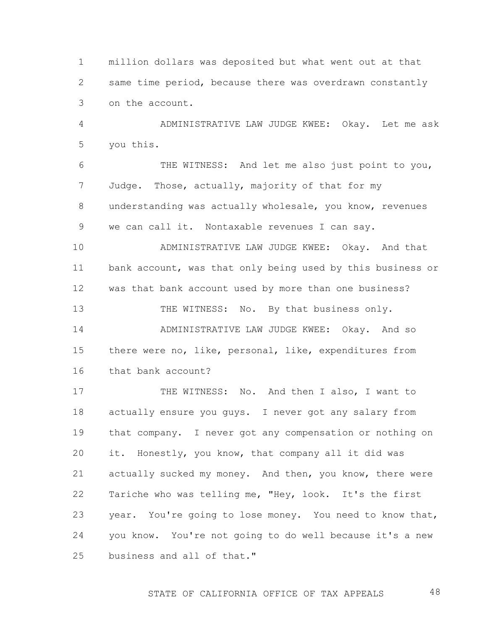1 2 3 million dollars was deposited but what went out at that same time period, because there was overdrawn constantly on the account.

4 5 ADMINISTRATIVE LAW JUDGE KWEE: Okay. Let me ask you this.

6 7 8 9 THE WITNESS: And let me also just point to you, Judge. Those, actually, majority of that for my understanding was actually wholesale, you know, revenues we can call it. Nontaxable revenues I can say.

10 11 12 ADMINISTRATIVE LAW JUDGE KWEE: Okay. And that bank account, was that only being used by this business or was that bank account used by more than one business?

13 14 15 16 THE WITNESS: No. By that business only. ADMINISTRATIVE LAW JUDGE KWEE: Okay. And so there were no, like, personal, like, expenditures from that bank account?

17 18 19 20 21 22 23 24 25 THE WITNESS: No. And then I also, I want to actually ensure you guys. I never got any salary from that company. I never got any compensation or nothing on it. Honestly, you know, that company all it did was actually sucked my money. And then, you know, there were Tariche who was telling me, "Hey, look. It's the first year. You're going to lose money. You need to know that, you know. You're not going to do well because it's a new business and all of that."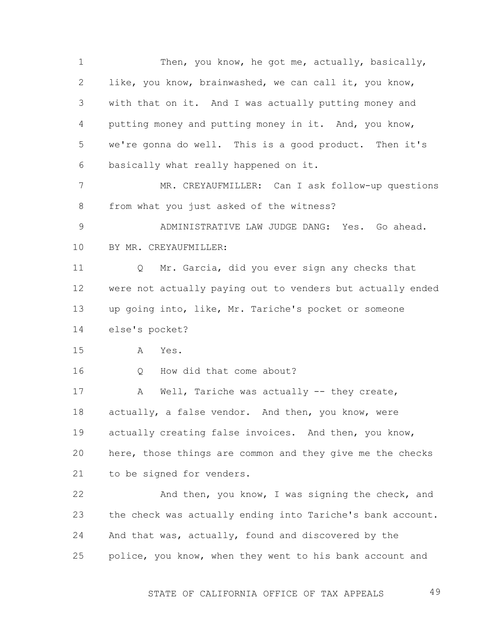1 2 3 4 5 6 7 8 9 10 11 12 13 14 15 16 17 18 19 20 21 22 23 24 25 Then, you know, he got me, actually, basically, like, you know, brainwashed, we can call it, you know, with that on it. And I was actually putting money and putting money and putting money in it. And, you know, we're gonna do well. This is a good product. Then it's basically what really happened on it. MR. CREYAUFMILLER: Can I ask follow-up questions from what you just asked of the witness? ADMINISTRATIVE LAW JUDGE DANG: Yes. Go ahead. BY MR. CREYAUFMILLER: Q Mr. Garcia, did you ever sign any checks that were not actually paying out to venders but actually ended up going into, like, Mr. Tariche's pocket or someone else's pocket? A Yes. Q How did that come about? A Well, Tariche was actually -- they create, actually, a false vendor. And then, you know, were actually creating false invoices. And then, you know, here, those things are common and they give me the checks to be signed for venders. And then, you know, I was signing the check, and the check was actually ending into Tariche's bank account. And that was, actually, found and discovered by the police, you know, when they went to his bank account and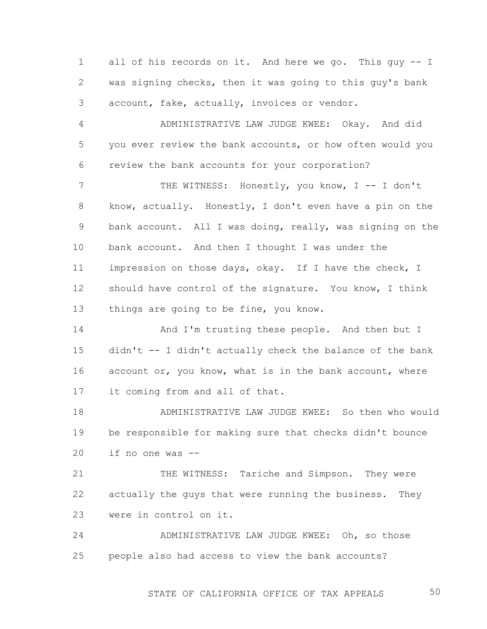1 2 3 all of his records on it. And here we go. This guy -- I was signing checks, then it was going to this guy's bank account, fake, actually, invoices or vendor.

4 5 6 ADMINISTRATIVE LAW JUDGE KWEE: Okay. And did you ever review the bank accounts, or how often would you review the bank accounts for your corporation?

7 8 9 10 11 12 13 THE WITNESS: Honestly, you know, I -- I don't know, actually. Honestly, I don't even have a pin on the bank account. All I was doing, really, was signing on the bank account. And then I thought I was under the impression on those days, okay. If I have the check, I should have control of the signature. You know, I think things are going to be fine, you know.

14 15 16 17 And I'm trusting these people. And then but I didn't -- I didn't actually check the balance of the bank account or, you know, what is in the bank account, where it coming from and all of that.

18 19 20 ADMINISTRATIVE LAW JUDGE KWEE: So then who would be responsible for making sure that checks didn't bounce if no one was --

21 22 23 THE WITNESS: Tariche and Simpson. They were actually the guys that were running the business. They were in control on it.

24 25 ADMINISTRATIVE LAW JUDGE KWEE: Oh, so those people also had access to view the bank accounts?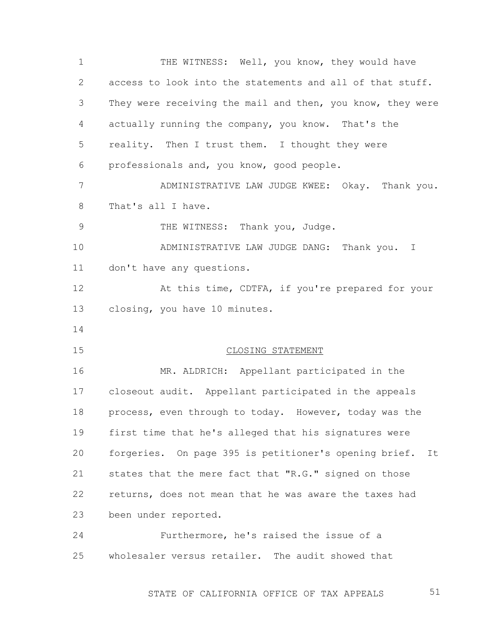1 2 3 4 5 6 7 8 9 10 11 12 13 14 15 16 17 18 19 20 21 22 23 24 25 THE WITNESS: Well, you know, they would have access to look into the statements and all of that stuff. They were receiving the mail and then, you know, they were actually running the company, you know. That's the reality. Then I trust them. I thought they were professionals and, you know, good people. ADMINISTRATIVE LAW JUDGE KWEE: Okay. Thank you. That's all I have. THE WITNESS: Thank you, Judge. ADMINISTRATIVE LAW JUDGE DANG: Thank you. I don't have any questions. At this time, CDTFA, if you're prepared for your closing, you have 10 minutes. CLOSING STATEMENT MR. ALDRICH: Appellant participated in the closeout audit. Appellant participated in the appeals process, even through to today. However, today was the first time that he's alleged that his signatures were forgeries. On page 395 is petitioner's opening brief. It states that the mere fact that "R.G." signed on those returns, does not mean that he was aware the taxes had been under reported. Furthermore, he's raised the issue of a wholesaler versus retailer. The audit showed that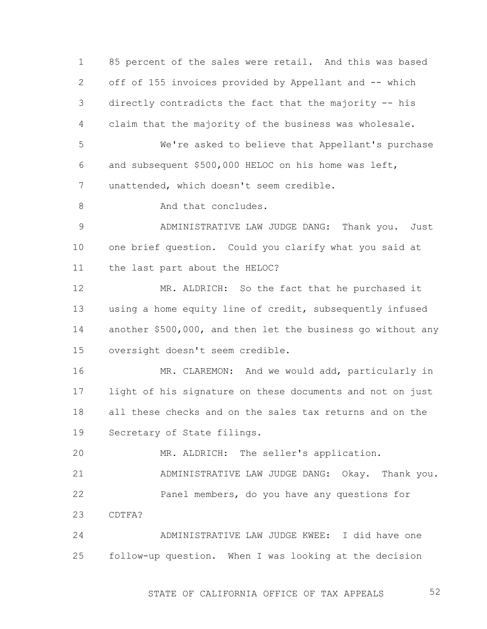1 2 3 4 85 percent of the sales were retail. And this was based off of 155 invoices provided by Appellant and -- which directly contradicts the fact that the majority -- his claim that the majority of the business was wholesale.

5 6 7 We're asked to believe that Appellant's purchase and subsequent \$500,000 HELOC on his home was left, unattended, which doesn't seem credible.

8 And that concludes.

9 10 11 ADMINISTRATIVE LAW JUDGE DANG: Thank you. Just one brief question. Could you clarify what you said at the last part about the HELOC?

12 13 14 15 MR. ALDRICH: So the fact that he purchased it using a home equity line of credit, subsequently infused another \$500,000, and then let the business go without any oversight doesn't seem credible.

16 17 18 19 MR. CLAREMON: And we would add, particularly in light of his signature on these documents and not on just all these checks and on the sales tax returns and on the Secretary of State filings.

20 MR. ALDRICH: The seller's application.

21 22 23 ADMINISTRATIVE LAW JUDGE DANG: Okay. Thank you. Panel members, do you have any questions for CDTFA?

24 25 ADMINISTRATIVE LAW JUDGE KWEE: I did have one follow-up question. When I was looking at the decision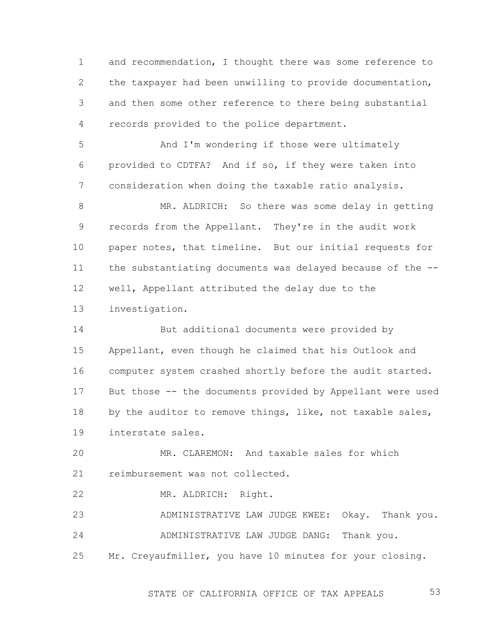1 2 3 4 and recommendation, I thought there was some reference to the taxpayer had been unwilling to provide documentation, and then some other reference to there being substantial records provided to the police department.

5 6 7 And I'm wondering if those were ultimately provided to CDTFA? And if so, if they were taken into consideration when doing the taxable ratio analysis.

8 9 10 11 12 13 MR. ALDRICH: So there was some delay in getting records from the Appellant. They're in the audit work paper notes, that timeline. But our initial requests for the substantiating documents was delayed because of the - well, Appellant attributed the delay due to the investigation.

14 15 16 17 18 19 But additional documents were provided by Appellant, even though he claimed that his Outlook and computer system crashed shortly before the audit started. But those -- the documents provided by Appellant were used by the auditor to remove things, like, not taxable sales, interstate sales.

20 21 MR. CLAREMON: And taxable sales for which reimbursement was not collected.

22 MR. ALDRICH: Right.

23 24 ADMINISTRATIVE LAW JUDGE KWEE: Okay. Thank you. ADMINISTRATIVE LAW JUDGE DANG: Thank you.

25 Mr. Creyaufmiller, you have 10 minutes for your closing.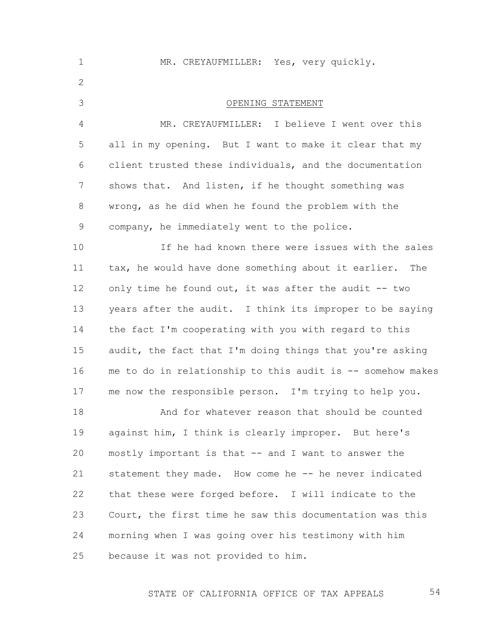1 2 3 4 5 6 7 8 9 10 11 12 13 14 15 16 17 18 19 20 21 22 23 24 25 MR. CREYAUFMILLER: Yes, very quickly. OPENING STATEMENT MR. CREYAUFMILLER: I believe I went over this all in my opening. But I want to make it clear that my client trusted these individuals, and the documentation shows that. And listen, if he thought something was wrong, as he did when he found the problem with the company, he immediately went to the police. If he had known there were issues with the sales tax, he would have done something about it earlier. The only time he found out, it was after the audit -- two years after the audit. I think its improper to be saying the fact I'm cooperating with you with regard to this audit, the fact that I'm doing things that you're asking me to do in relationship to this audit is -- somehow makes me now the responsible person. I'm trying to help you. And for whatever reason that should be counted against him, I think is clearly improper. But here's mostly important is that -- and I want to answer the statement they made. How come he -- he never indicated that these were forged before. I will indicate to the Court, the first time he saw this documentation was this morning when I was going over his testimony with him because it was not provided to him.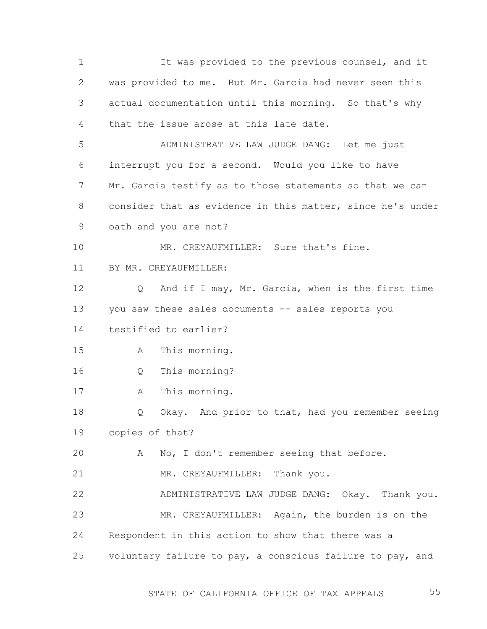1 2 3 4 5 6 7 8 9 10 11 12 13 14 15 16 17 18 19 20 21 22 23 24 25 It was provided to the previous counsel, and it was provided to me. But Mr. Garcia had never seen this actual documentation until this morning. So that's why that the issue arose at this late date. ADMINISTRATIVE LAW JUDGE DANG: Let me just interrupt you for a second. Would you like to have Mr. Garcia testify as to those statements so that we can consider that as evidence in this matter, since he's under oath and you are not? MR. CREYAUFMILLER: Sure that's fine. BY MR. CREYAUFMILLER: Q And if I may, Mr. Garcia, when is the first time you saw these sales documents -- sales reports you testified to earlier? A This morning. Q This morning? A This morning. Q Okay. And prior to that, had you remember seeing copies of that? A No, I don't remember seeing that before. MR. CREYAUFMILLER: Thank you. ADMINISTRATIVE LAW JUDGE DANG: Okay. Thank you. MR. CREYAUFMILLER: Again, the burden is on the Respondent in this action to show that there was a voluntary failure to pay, a conscious failure to pay, and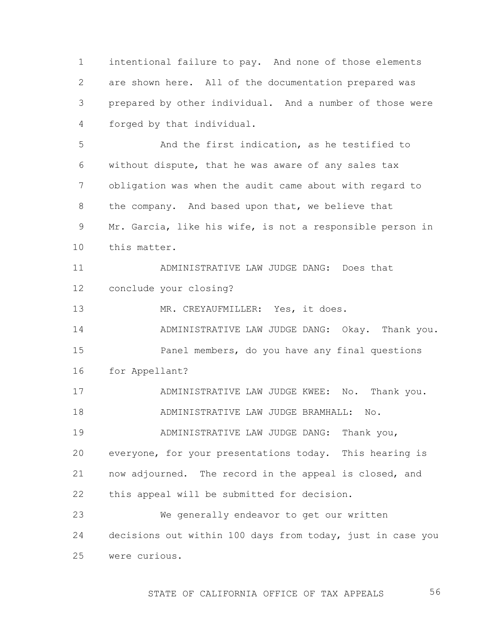1 2 3 4 intentional failure to pay. And none of those elements are shown here. All of the documentation prepared was prepared by other individual. And a number of those were forged by that individual.

5 6 7 8 9 10 And the first indication, as he testified to without dispute, that he was aware of any sales tax obligation was when the audit came about with regard to the company. And based upon that, we believe that Mr. Garcia, like his wife, is not a responsible person in this matter.

11 12 ADMINISTRATIVE LAW JUDGE DANG: Does that conclude your closing?

13 MR. CREYAUFMILLER: Yes, it does.

14 15 16 ADMINISTRATIVE LAW JUDGE DANG: Okay. Thank you. Panel members, do you have any final questions for Appellant?

17 18 ADMINISTRATIVE LAW JUDGE KWEE: No. Thank you. ADMINISTRATIVE LAW JUDGE BRAMHALL: No.

19 20 21 22 ADMINISTRATIVE LAW JUDGE DANG: Thank you, everyone, for your presentations today. This hearing is now adjourned. The record in the appeal is closed, and this appeal will be submitted for decision.

23 24 25 We generally endeavor to get our written decisions out within 100 days from today, just in case you were curious.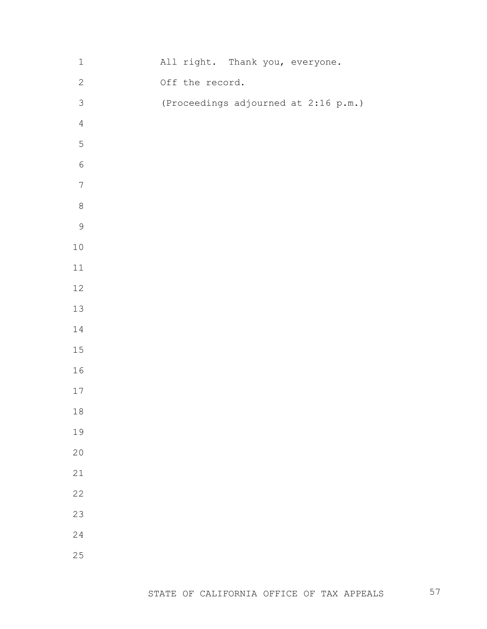| $\mathbf 1$      |  |                 | All right. Thank you, everyone. |  |                                      |  |
|------------------|--|-----------------|---------------------------------|--|--------------------------------------|--|
| $\mathbf{2}$     |  | Off the record. |                                 |  |                                      |  |
| $\mathsf S$      |  |                 |                                 |  | (Proceedings adjourned at 2:16 p.m.) |  |
| $\sqrt{4}$       |  |                 |                                 |  |                                      |  |
| $\mathsf S$      |  |                 |                                 |  |                                      |  |
| $\sqrt{6}$       |  |                 |                                 |  |                                      |  |
| $\boldsymbol{7}$ |  |                 |                                 |  |                                      |  |
| $\,8\,$          |  |                 |                                 |  |                                      |  |
| $\mathsf 9$      |  |                 |                                 |  |                                      |  |
| $1\,0$           |  |                 |                                 |  |                                      |  |
| 11               |  |                 |                                 |  |                                      |  |
| 12               |  |                 |                                 |  |                                      |  |
| 13               |  |                 |                                 |  |                                      |  |
| $1\,4$           |  |                 |                                 |  |                                      |  |
| 15               |  |                 |                                 |  |                                      |  |
| 16               |  |                 |                                 |  |                                      |  |
| 17               |  |                 |                                 |  |                                      |  |
| 18               |  |                 |                                 |  |                                      |  |
| 19               |  |                 |                                 |  |                                      |  |
| 20               |  |                 |                                 |  |                                      |  |
| 21               |  |                 |                                 |  |                                      |  |
| 22               |  |                 |                                 |  |                                      |  |
| 23               |  |                 |                                 |  |                                      |  |
| 24               |  |                 |                                 |  |                                      |  |
| 25               |  |                 |                                 |  |                                      |  |